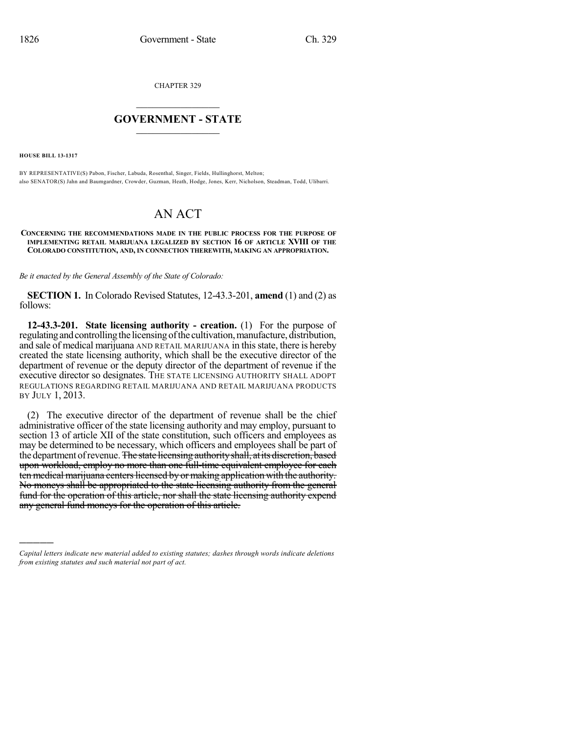CHAPTER 329

# $\mathcal{L}_\text{max}$  . The set of the set of the set of the set of the set of the set of the set of the set of the set of the set of the set of the set of the set of the set of the set of the set of the set of the set of the set **GOVERNMENT - STATE**  $\_$   $\_$   $\_$   $\_$   $\_$   $\_$   $\_$   $\_$   $\_$

**HOUSE BILL 13-1317**

)))))

BY REPRESENTATIVE(S) Pabon, Fischer, Labuda, Rosenthal, Singer, Fields, Hullinghorst, Melton; also SENATOR(S) Jahn and Baumgardner, Crowder, Guzman, Heath, Hodge, Jones, Kerr, Nicholson, Steadman, Todd, Ulibarri.

# AN ACT

#### **CONCERNING THE RECOMMENDATIONS MADE IN THE PUBLIC PROCESS FOR THE PURPOSE OF IMPLEMENTING RETAIL MARIJUANA LEGALIZED BY SECTION 16 OF ARTICLE XVIII OF THE COLORADO CONSTITUTION, AND, IN CONNECTION THEREWITH, MAKING AN APPROPRIATION.**

*Be it enacted by the General Assembly of the State of Colorado:*

**SECTION 1.** In Colorado Revised Statutes, 12-43.3-201, **amend** (1) and (2) as follows:

**12-43.3-201. State licensing authority - creation.** (1) For the purpose of regulating and controlling the licensing of the cultivation, manufacture, distribution, and sale of medical marijuana AND RETAIL MARIJUANA in this state, there is hereby created the state licensing authority, which shall be the executive director of the department of revenue or the deputy director of the department of revenue if the executive director so designates. THE STATE LICENSING AUTHORITY SHALL ADOPT REGULATIONS REGARDING RETAIL MARIJUANA AND RETAIL MARIJUANA PRODUCTS BY JULY 1, 2013.

(2) The executive director of the department of revenue shall be the chief administrative officer of the state licensing authority and may employ, pursuant to section 13 of article XII of the state constitution, such officers and employees as may be determined to be necessary, which officers and employees shall be part of the department of revenue. The state licensing authority shall, at its discretion, based upon workload, employ no more than one full-time equivalent employee for each ten medical marijuana centers licensed by or making application with the authority. No moneys shall be appropriated to the state licensing authority from the general fund for the operation of this article, nor shall the state licensing authority expend any general fund moneys for the operation of this article.

*Capital letters indicate new material added to existing statutes; dashes through words indicate deletions from existing statutes and such material not part of act.*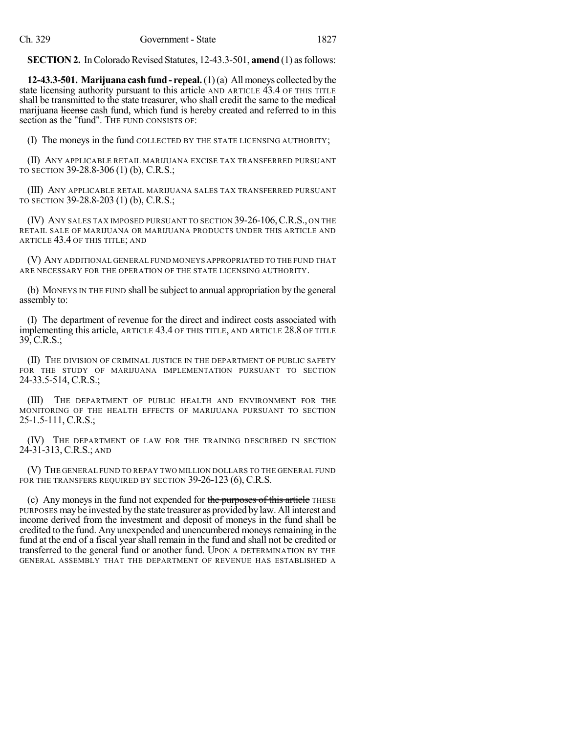**SECTION 2.** In Colorado Revised Statutes, 12-43.3-501, **amend** (1) as follows:

**12-43.3-501. Marijuana cashfund - repeal.**(1)(a) Allmoneys collected bythe state licensing authority pursuant to this article AND ARTICLE 43.4 OF THIS TITLE shall be transmitted to the state treasurer, who shall credit the same to the medical marijuana license cash fund, which fund is hereby created and referred to in this section as the "fund". The FUND CONSISTS OF:

(I) The moneys in the fund COLLECTED BY THE STATE LICENSING AUTHORITY;

(II) ANY APPLICABLE RETAIL MARIJUANA EXCISE TAX TRANSFERRED PURSUANT TO SECTION 39-28.8-306 (1) (b), C.R.S.;

(III) ANY APPLICABLE RETAIL MARIJUANA SALES TAX TRANSFERRED PURSUANT TO SECTION 39-28.8-203 (1) (b), C.R.S.;

(IV) ANY SALES TAX IMPOSED PURSUANT TO SECTION 39-26-106,C.R.S., ON THE RETAIL SALE OF MARIJUANA OR MARIJUANA PRODUCTS UNDER THIS ARTICLE AND ARTICLE 43.4 OF THIS TITLE; AND

(V) ANY ADDITIONAL GENERAL FUND MONEYS APPROPRIATED TO THE FUND THAT ARE NECESSARY FOR THE OPERATION OF THE STATE LICENSING AUTHORITY.

(b) MONEYS IN THE FUND shall be subject to annual appropriation by the general assembly to:

(I) The department of revenue for the direct and indirect costs associated with implementing this article, ARTICLE 43.4 OF THIS TITLE, AND ARTICLE 28.8 OF TITLE 39, C.R.S.;

(II) THE DIVISION OF CRIMINAL JUSTICE IN THE DEPARTMENT OF PUBLIC SAFETY FOR THE STUDY OF MARIJUANA IMPLEMENTATION PURSUANT TO SECTION 24-33.5-514, C.R.S.;

(III) THE DEPARTMENT OF PUBLIC HEALTH AND ENVIRONMENT FOR THE MONITORING OF THE HEALTH EFFECTS OF MARIJUANA PURSUANT TO SECTION 25-1.5-111, C.R.S.;

(IV) THE DEPARTMENT OF LAW FOR THE TRAINING DESCRIBED IN SECTION 24-31-313, C.R.S.; AND

(V) THE GENERAL FUND TO REPAY TWO MILLION DOLLARS TO THE GENERAL FUND FOR THE TRANSFERS REQUIRED BY SECTION 39-26-123 (6), C.R.S.

(c) Any moneys in the fund not expended for the purposes of this article THESE PURPOSES maybe invested by the state treasurer as provided bylaw. All interest and income derived from the investment and deposit of moneys in the fund shall be credited to the fund. Any unexpended and unencumbered moneys remaining in the fund at the end of a fiscal year shall remain in the fund and shall not be credited or transferred to the general fund or another fund. UPON A DETERMINATION BY THE GENERAL ASSEMBLY THAT THE DEPARTMENT OF REVENUE HAS ESTABLISHED A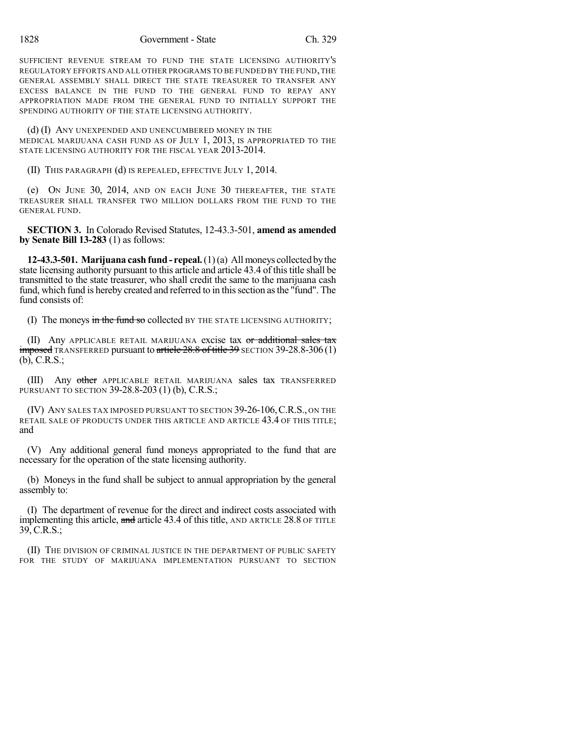SUFFICIENT REVENUE STREAM TO FUND THE STATE LICENSING AUTHORITY'S REGULATORY EFFORTS AND ALL OTHER PROGRAMS TO BE FUNDED BY THE FUND, THE GENERAL ASSEMBLY SHALL DIRECT THE STATE TREASURER TO TRANSFER ANY EXCESS BALANCE IN THE FUND TO THE GENERAL FUND TO REPAY ANY APPROPRIATION MADE FROM THE GENERAL FUND TO INITIALLY SUPPORT THE SPENDING AUTHORITY OF THE STATE LICENSING AUTHORITY.

(d) (I) ANY UNEXPENDED AND UNENCUMBERED MONEY IN THE MEDICAL MARIJUANA CASH FUND AS OF JULY 1, 2013, IS APPROPRIATED TO THE STATE LICENSING AUTHORITY FOR THE FISCAL YEAR 2013-2014.

(II) THIS PARAGRAPH (d) IS REPEALED, EFFECTIVE JULY 1, 2014.

(e) ON JUNE 30, 2014, AND ON EACH JUNE 30 THEREAFTER, THE STATE TREASURER SHALL TRANSFER TWO MILLION DOLLARS FROM THE FUND TO THE GENERAL FUND.

**SECTION 3.** In Colorado Revised Statutes, 12-43.3-501, **amend as amended by Senate Bill 13-283** (1) as follows:

**12-43.3-501. Marijuana cash fund- repeal.**(1)(a) Allmoneys collected bythe state licensing authority pursuant to this article and article 43.4 of this title shall be transmitted to the state treasurer, who shall credit the same to the marijuana cash fund, which fund is hereby created and referred to in this section as the "fund". The fund consists of:

(I) The moneys in the fund so collected BY THE STATE LICENSING AUTHORITY;

(II) Any APPLICABLE RETAIL MARIJUANA excise tax or additional sales tax  $imposed$  TRANSFERRED pursuant to article  $28.8$  of title 39 SECTION 39-28.8-306 (1) (b), C.R.S.;

(III) Any other APPLICABLE RETAIL MARIJUANA sales tax TRANSFERRED PURSUANT TO SECTION 39-28.8-203 (1) (b), C.R.S.;

(IV) ANY SALES TAX IMPOSED PURSUANT TO SECTION 39-26-106,C.R.S., ON THE RETAIL SALE OF PRODUCTS UNDER THIS ARTICLE AND ARTICLE 43.4 OF THIS TITLE; and

(V) Any additional general fund moneys appropriated to the fund that are necessary for the operation of the state licensing authority.

(b) Moneys in the fund shall be subject to annual appropriation by the general assembly to:

(I) The department of revenue for the direct and indirect costs associated with implementing this article, and article 43.4 of this title, AND ARTICLE 28.8 OF TITLE 39, C.R.S.;

(II) THE DIVISION OF CRIMINAL JUSTICE IN THE DEPARTMENT OF PUBLIC SAFETY FOR THE STUDY OF MARIJUANA IMPLEMENTATION PURSUANT TO SECTION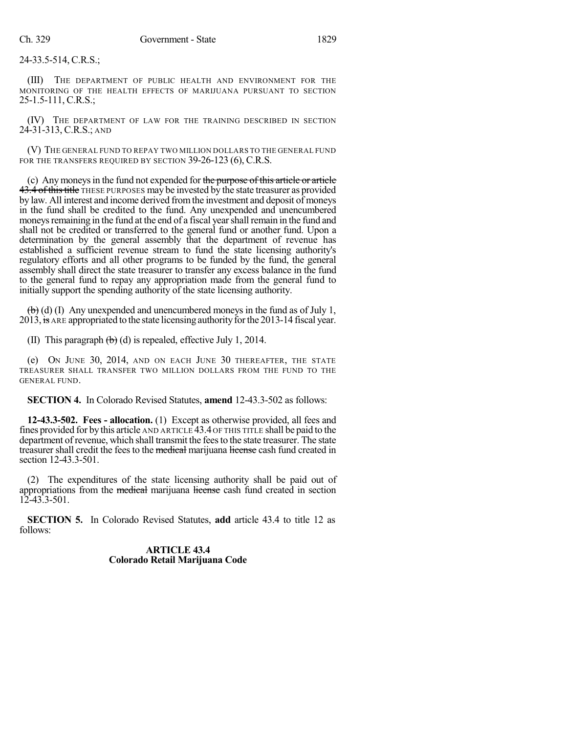24-33.5-514, C.R.S.;

(III) THE DEPARTMENT OF PUBLIC HEALTH AND ENVIRONMENT FOR THE MONITORING OF THE HEALTH EFFECTS OF MARIJUANA PURSUANT TO SECTION 25-1.5-111, C.R.S.;

(IV) THE DEPARTMENT OF LAW FOR THE TRAINING DESCRIBED IN SECTION 24-31-313, C.R.S.; AND

(V) THE GENERAL FUND TO REPAY TWO MILLION DOLLARS TO THE GENERAL FUND FOR THE TRANSFERS REQUIRED BY SECTION 39-26-123 (6), C.R.S.

(c) Anymoneysin the fund not expended for the purpose of this article or article  $43.4$  of this title THESE PURPOSES may be invested by the state treasurer as provided by law. All interest and income derived fromthe investment and deposit of moneys in the fund shall be credited to the fund. Any unexpended and unencumbered moneys remaining in the fund at the end of a fiscal year shall remain in the fund and shall not be credited or transferred to the general fund or another fund. Upon a determination by the general assembly that the department of revenue has established a sufficient revenue stream to fund the state licensing authority's regulatory efforts and all other programs to be funded by the fund, the general assembly shall direct the state treasurer to transfer any excess balance in the fund to the general fund to repay any appropriation made from the general fund to initially support the spending authority of the state licensing authority.

 $\left(\frac{1}{b}\right)$  (d) (I) Any unexpended and unencumbered moneys in the fund as of July 1, 2013, is ARE appropriated to the state licensing authority for the 2013-14 fiscal year.

(II) This paragraph  $\left(\frac{b}{b}\right)$  (d) is repealed, effective July 1, 2014.

(e) ON JUNE 30, 2014, AND ON EACH JUNE 30 THEREAFTER, THE STATE TREASURER SHALL TRANSFER TWO MILLION DOLLARS FROM THE FUND TO THE GENERAL FUND.

**SECTION 4.** In Colorado Revised Statutes, **amend** 12-43.3-502 as follows:

**12-43.3-502. Fees - allocation.** (1) Except as otherwise provided, all fees and fines provided for by this article AND ARTICLE 43.4 OF THIS TITLE shall be paid to the department of revenue, which shall transmit the feesto the state treasurer. The state treasurer shall credit the fees to the medical marijuana license cash fund created in section 12-43.3-501.

(2) The expenditures of the state licensing authority shall be paid out of appropriations from the medical marijuana license cash fund created in section  $12 - 43.3 - 501.$ 

**SECTION 5.** In Colorado Revised Statutes, **add** article 43.4 to title 12 as follows:

> **ARTICLE 43.4 Colorado Retail Marijuana Code**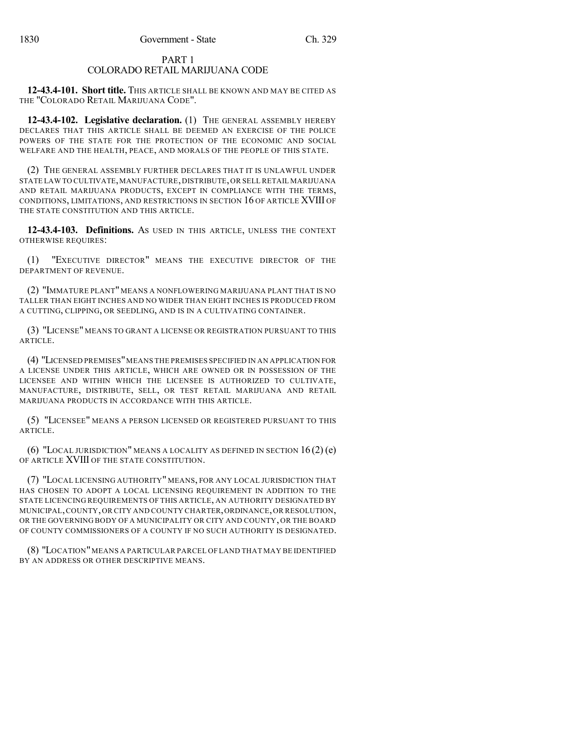## PART 1 COLORADO RETAIL MARIJUANA CODE

**12-43.4-101. Short title.** THIS ARTICLE SHALL BE KNOWN AND MAY BE CITED AS THE "COLORADO RETAIL MARIJUANA CODE".

**12-43.4-102. Legislative declaration.** (1) THE GENERAL ASSEMBLY HEREBY DECLARES THAT THIS ARTICLE SHALL BE DEEMED AN EXERCISE OF THE POLICE POWERS OF THE STATE FOR THE PROTECTION OF THE ECONOMIC AND SOCIAL WELFARE AND THE HEALTH, PEACE, AND MORALS OF THE PEOPLE OF THIS STATE.

(2) THE GENERAL ASSEMBLY FURTHER DECLARES THAT IT IS UNLAWFUL UNDER STATE LAW TO CULTIVATE,MANUFACTURE,DISTRIBUTE,OR SELL RETAIL MARIJUANA AND RETAIL MARIJUANA PRODUCTS, EXCEPT IN COMPLIANCE WITH THE TERMS, CONDITIONS, LIMITATIONS, AND RESTRICTIONS IN SECTION 16 OF ARTICLE XVIII OF THE STATE CONSTITUTION AND THIS ARTICLE.

**12-43.4-103. Definitions.** AS USED IN THIS ARTICLE, UNLESS THE CONTEXT OTHERWISE REQUIRES:

(1) "EXECUTIVE DIRECTOR" MEANS THE EXECUTIVE DIRECTOR OF THE DEPARTMENT OF REVENUE.

(2) "IMMATURE PLANT" MEANS A NONFLOWERING MARIJUANA PLANT THAT IS NO TALLER THAN EIGHT INCHES AND NO WIDER THAN EIGHT INCHES IS PRODUCED FROM A CUTTING, CLIPPING, OR SEEDLING, AND IS IN A CULTIVATING CONTAINER.

(3) "LICENSE" MEANS TO GRANT A LICENSE OR REGISTRATION PURSUANT TO THIS ARTICLE.

(4) "LICENSED PREMISES"MEANS THE PREMISES SPECIFIED IN AN APPLICATION FOR A LICENSE UNDER THIS ARTICLE, WHICH ARE OWNED OR IN POSSESSION OF THE LICENSEE AND WITHIN WHICH THE LICENSEE IS AUTHORIZED TO CULTIVATE, MANUFACTURE, DISTRIBUTE, SELL, OR TEST RETAIL MARIJUANA AND RETAIL MARIJUANA PRODUCTS IN ACCORDANCE WITH THIS ARTICLE.

(5) "LICENSEE" MEANS A PERSON LICENSED OR REGISTERED PURSUANT TO THIS ARTICLE.

(6) "LOCAL JURISDICTION" MEANS A LOCALITY AS DEFINED IN SECTION  $16(2)$  (e) OF ARTICLE XVIII OF THE STATE CONSTITUTION.

(7) "LOCAL LICENSING AUTHORITY" MEANS, FOR ANY LOCAL JURISDICTION THAT HAS CHOSEN TO ADOPT A LOCAL LICENSING REQUIREMENT IN ADDITION TO THE STATE LICENCING REQUIREMENTS OF THIS ARTICLE, AN AUTHORITY DESIGNATED BY MUNICIPAL,COUNTY,OR CITY AND COUNTY CHARTER,ORDINANCE,OR RESOLUTION, OR THE GOVERNING BODY OF A MUNICIPALITY OR CITY AND COUNTY, OR THE BOARD OF COUNTY COMMISSIONERS OF A COUNTY IF NO SUCH AUTHORITY IS DESIGNATED.

(8) "LOCATION"MEANS A PARTICULAR PARCEL OF LAND THAT MAY BE IDENTIFIED BY AN ADDRESS OR OTHER DESCRIPTIVE MEANS.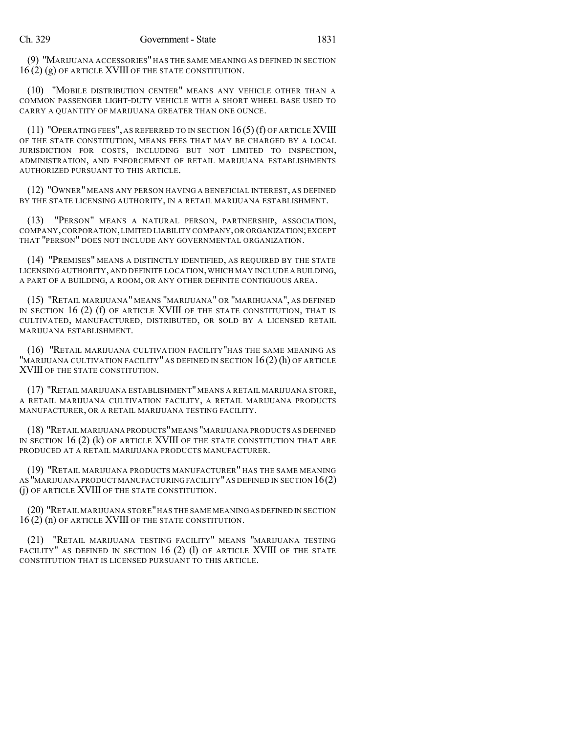(9) "MARIJUANA ACCESSORIES" HAS THE SAME MEANING AS DEFINED IN SECTION 16 (2) (g) OF ARTICLE XVIII OF THE STATE CONSTITUTION.

(10) "MOBILE DISTRIBUTION CENTER" MEANS ANY VEHICLE OTHER THAN A COMMON PASSENGER LIGHT-DUTY VEHICLE WITH A SHORT WHEEL BASE USED TO CARRY A QUANTITY OF MARIJUANA GREATER THAN ONE OUNCE.

(11) "OPERATING FEES", AS REFERRED TO IN SECTION  $16(5)$  (f) OF ARTICLE XVIII OF THE STATE CONSTITUTION, MEANS FEES THAT MAY BE CHARGED BY A LOCAL JURISDICTION FOR COSTS, INCLUDING BUT NOT LIMITED TO INSPECTION, ADMINISTRATION, AND ENFORCEMENT OF RETAIL MARIJUANA ESTABLISHMENTS AUTHORIZED PURSUANT TO THIS ARTICLE.

(12) "OWNER" MEANS ANY PERSON HAVING A BENEFICIAL INTEREST, AS DEFINED BY THE STATE LICENSING AUTHORITY, IN A RETAIL MARIJUANA ESTABLISHMENT.

(13) "PERSON" MEANS A NATURAL PERSON, PARTNERSHIP, ASSOCIATION, COMPANY,CORPORATION,LIMITED LIABILITY COMPANY,OR ORGANIZATION;EXCEPT THAT "PERSON" DOES NOT INCLUDE ANY GOVERNMENTAL ORGANIZATION.

(14) "PREMISES" MEANS A DISTINCTLY IDENTIFIED, AS REQUIRED BY THE STATE LICENSING AUTHORITY, AND DEFINITE LOCATION, WHICH MAY INCLUDE A BUILDING, A PART OF A BUILDING, A ROOM, OR ANY OTHER DEFINITE CONTIGUOUS AREA.

(15) "RETAIL MARIJUANA" MEANS "MARIJUANA" OR "MARIHUANA", AS DEFINED IN SECTION 16 (2) (f) OF ARTICLE XVIII OF THE STATE CONSTITUTION, THAT IS CULTIVATED, MANUFACTURED, DISTRIBUTED, OR SOLD BY A LICENSED RETAIL MARIJUANA ESTABLISHMENT.

(16) "RETAIL MARIJUANA CULTIVATION FACILITY"HAS THE SAME MEANING AS "MARIJUANA CULTIVATION FACILITY" AS DEFINED IN SECTION 16(2) (h) OF ARTICLE XVIII OF THE STATE CONSTITUTION.

(17) "RETAIL MARIJUANA ESTABLISHMENT" MEANS A RETAIL MARIJUANA STORE, A RETAIL MARIJUANA CULTIVATION FACILITY, A RETAIL MARIJUANA PRODUCTS MANUFACTURER, OR A RETAIL MARIJUANA TESTING FACILITY.

(18) "RETAIL MARIJUANA PRODUCTS"MEANS "MARIJUANA PRODUCTS AS DEFINED IN SECTION 16 (2) (k) OF ARTICLE XVIII OF THE STATE CONSTITUTION THAT ARE PRODUCED AT A RETAIL MARIJUANA PRODUCTS MANUFACTURER.

(19) "RETAIL MARIJUANA PRODUCTS MANUFACTURER" HAS THE SAME MEANING AS "MARIJUANA PRODUCT MANUFACTURING FACILITY"AS DEFINED IN SECTION 16(2) (j) OF ARTICLE XVIII OF THE STATE CONSTITUTION.

(20) "RETAIL MARIJUANA STORE"HAS THE SAME MEANINGAS DEFINED IN SECTION 16 (2) (n) OF ARTICLE XVIII OF THE STATE CONSTITUTION.

(21) "RETAIL MARIJUANA TESTING FACILITY" MEANS "MARIJUANA TESTING FACILITY" AS DEFINED IN SECTION  $16$  (2) (1) OF ARTICLE XVIII OF THE STATE CONSTITUTION THAT IS LICENSED PURSUANT TO THIS ARTICLE.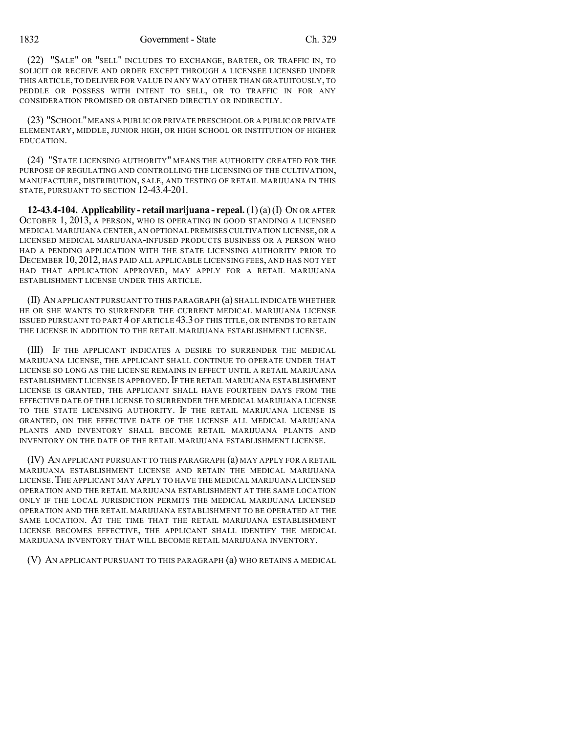(22) "SALE" OR "SELL" INCLUDES TO EXCHANGE, BARTER, OR TRAFFIC IN, TO SOLICIT OR RECEIVE AND ORDER EXCEPT THROUGH A LICENSEE LICENSED UNDER THIS ARTICLE, TO DELIVER FOR VALUE IN ANY WAY OTHER THAN GRATUITOUSLY, TO PEDDLE OR POSSESS WITH INTENT TO SELL, OR TO TRAFFIC IN FOR ANY CONSIDERATION PROMISED OR OBTAINED DIRECTLY OR INDIRECTLY.

(23) "SCHOOL"MEANS A PUBLIC OR PRIVATE PRESCHOOL OR A PUBLIC OR PRIVATE ELEMENTARY, MIDDLE, JUNIOR HIGH, OR HIGH SCHOOL OR INSTITUTION OF HIGHER EDUCATION.

(24) "STATE LICENSING AUTHORITY" MEANS THE AUTHORITY CREATED FOR THE PURPOSE OF REGULATING AND CONTROLLING THE LICENSING OF THE CULTIVATION, MANUFACTURE, DISTRIBUTION, SALE, AND TESTING OF RETAIL MARIJUANA IN THIS STATE, PURSUANT TO SECTION 12-43.4-201.

**12-43.4-104. Applicability - retail marijuana - repeal.** (1) (a)(I) ON OR AFTER OCTOBER 1, 2013, A PERSON, WHO IS OPERATING IN GOOD STANDING A LICENSED MEDICAL MARIJUANA CENTER, AN OPTIONAL PREMISES CULTIVATION LICENSE, OR A LICENSED MEDICAL MARIJUANA-INFUSED PRODUCTS BUSINESS OR A PERSON WHO HAD A PENDING APPLICATION WITH THE STATE LICENSING AUTHORITY PRIOR TO DECEMBER 10, 2012, HAS PAID ALL APPLICABLE LICENSING FEES, AND HAS NOT YET HAD THAT APPLICATION APPROVED, MAY APPLY FOR A RETAIL MARIJUANA ESTABLISHMENT LICENSE UNDER THIS ARTICLE.

(II) AN APPLICANT PURSUANT TO THIS PARAGRAPH (a) SHALL INDICATE WHETHER HE OR SHE WANTS TO SURRENDER THE CURRENT MEDICAL MARIJUANA LICENSE ISSUED PURSUANT TO PART 4 OF ARTICLE 43.3 OF THIS TITLE, OR INTENDS TO RETAIN THE LICENSE IN ADDITION TO THE RETAIL MARIJUANA ESTABLISHMENT LICENSE.

(III) IF THE APPLICANT INDICATES A DESIRE TO SURRENDER THE MEDICAL MARIJUANA LICENSE, THE APPLICANT SHALL CONTINUE TO OPERATE UNDER THAT LICENSE SO LONG AS THE LICENSE REMAINS IN EFFECT UNTIL A RETAIL MARIJUANA ESTABLISHMENT LICENSE IS APPROVED. IF THE RETAIL MARIJUANA ESTABLISHMENT LICENSE IS GRANTED, THE APPLICANT SHALL HAVE FOURTEEN DAYS FROM THE EFFECTIVE DATE OF THE LICENSE TO SURRENDER THE MEDICAL MARIJUANA LICENSE TO THE STATE LICENSING AUTHORITY. IF THE RETAIL MARIJUANA LICENSE IS GRANTED, ON THE EFFECTIVE DATE OF THE LICENSE ALL MEDICAL MARIJUANA PLANTS AND INVENTORY SHALL BECOME RETAIL MARIJUANA PLANTS AND INVENTORY ON THE DATE OF THE RETAIL MARIJUANA ESTABLISHMENT LICENSE.

(IV) AN APPLICANT PURSUANT TO THIS PARAGRAPH (a) MAY APPLY FOR A RETAIL MARIJUANA ESTABLISHMENT LICENSE AND RETAIN THE MEDICAL MARIJUANA LICENSE.THE APPLICANT MAY APPLY TO HAVE THE MEDICAL MARIJUANA LICENSED OPERATION AND THE RETAIL MARIJUANA ESTABLISHMENT AT THE SAME LOCATION ONLY IF THE LOCAL JURISDICTION PERMITS THE MEDICAL MARIJUANA LICENSED OPERATION AND THE RETAIL MARIJUANA ESTABLISHMENT TO BE OPERATED AT THE SAME LOCATION. AT THE TIME THAT THE RETAIL MARIJUANA ESTABLISHMENT LICENSE BECOMES EFFECTIVE, THE APPLICANT SHALL IDENTIFY THE MEDICAL MARIJUANA INVENTORY THAT WILL BECOME RETAIL MARIJUANA INVENTORY.

(V) AN APPLICANT PURSUANT TO THIS PARAGRAPH (a) WHO RETAINS A MEDICAL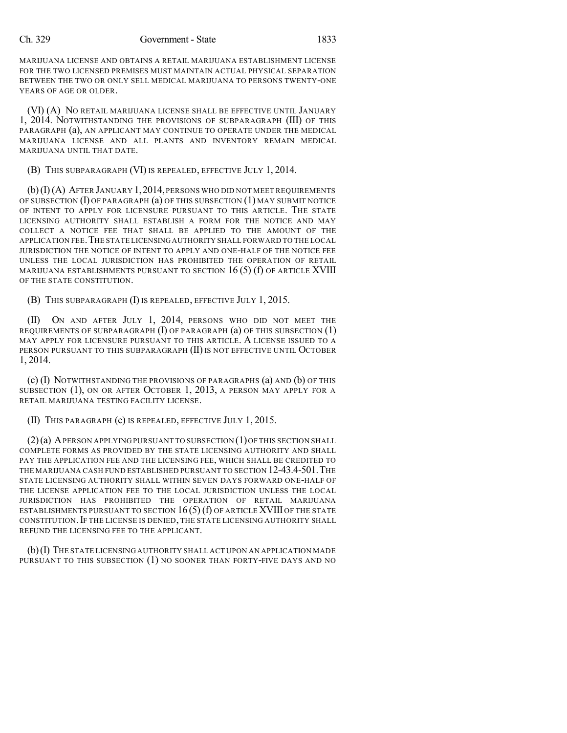#### Ch. 329 Government - State 1833

MARIJUANA LICENSE AND OBTAINS A RETAIL MARIJUANA ESTABLISHMENT LICENSE FOR THE TWO LICENSED PREMISES MUST MAINTAIN ACTUAL PHYSICAL SEPARATION BETWEEN THE TWO OR ONLY SELL MEDICAL MARIJUANA TO PERSONS TWENTY-ONE YEARS OF AGE OR OLDER.

(VI) (A) NO RETAIL MARIJUANA LICENSE SHALL BE EFFECTIVE UNTIL JANUARY 1, 2014. NOTWITHSTANDING THE PROVISIONS OF SUBPARAGRAPH (III) OF THIS PARAGRAPH (a), AN APPLICANT MAY CONTINUE TO OPERATE UNDER THE MEDICAL MARIJUANA LICENSE AND ALL PLANTS AND INVENTORY REMAIN MEDICAL MARIJUANA UNTIL THAT DATE.

(B) THIS SUBPARAGRAPH (VI) IS REPEALED, EFFECTIVE JULY 1, 2014.

 $(b)(I)(A)$  After January 1, 2014, persons who did not meet requirements OF SUBSECTION (I) OF PARAGRAPH (a) OF THIS SUBSECTION (1) MAY SUBMIT NOTICE OF INTENT TO APPLY FOR LICENSURE PURSUANT TO THIS ARTICLE. THE STATE LICENSING AUTHORITY SHALL ESTABLISH A FORM FOR THE NOTICE AND MAY COLLECT A NOTICE FEE THAT SHALL BE APPLIED TO THE AMOUNT OF THE APPLICATION FEE.THE STATE LICENSINGAUTHORITY SHALL FORWARD TO THE LOCAL JURISDICTION THE NOTICE OF INTENT TO APPLY AND ONE-HALF OF THE NOTICE FEE UNLESS THE LOCAL JURISDICTION HAS PROHIBITED THE OPERATION OF RETAIL MARIJUANA ESTABLISHMENTS PURSUANT TO SECTION  $16(5)$  (f) of article XVIII OF THE STATE CONSTITUTION.

(B) THIS SUBPARAGRAPH (I) IS REPEALED, EFFECTIVE JULY 1, 2015.

(II) ON AND AFTER JULY 1, 2014, PERSONS WHO DID NOT MEET THE REQUIREMENTS OF SUBPARAGRAPH  $(I)$  OF PARAGRAPH  $(a)$  OF THIS SUBSECTION  $(1)$ MAY APPLY FOR LICENSURE PURSUANT TO THIS ARTICLE. A LICENSE ISSUED TO A PERSON PURSUANT TO THIS SUBPARAGRAPH (II) IS NOT EFFECTIVE UNTIL OCTOBER 1, 2014.

(c) (I) NOTWITHSTANDING THE PROVISIONS OF PARAGRAPHS (a) AND (b) OF THIS SUBSECTION (1), ON OR AFTER OCTOBER 1, 2013, A PERSON MAY APPLY FOR A RETAIL MARIJUANA TESTING FACILITY LICENSE.

(II) THIS PARAGRAPH (c) IS REPEALED, EFFECTIVE JULY 1, 2015.

 $(2)(a)$  A PERSON APPLYING PURSUANT TO SUBSECTION  $(1)$  OF THIS SECTION SHALL COMPLETE FORMS AS PROVIDED BY THE STATE LICENSING AUTHORITY AND SHALL PAY THE APPLICATION FEE AND THE LICENSING FEE, WHICH SHALL BE CREDITED TO THE MARIJUANA CASH FUND ESTABLISHED PURSUANT TO SECTION 12-43.4-501.THE STATE LICENSING AUTHORITY SHALL WITHIN SEVEN DAYS FORWARD ONE-HALF OF THE LICENSE APPLICATION FEE TO THE LOCAL JURISDICTION UNLESS THE LOCAL JURISDICTION HAS PROHIBITED THE OPERATION OF RETAIL MARIJUANA ESTABLISHMENTS PURSUANT TO SECTION  $16(5)$  (f) OF ARTICLE XVIII OF THE STATE CONSTITUTION.IF THE LICENSE IS DENIED, THE STATE LICENSING AUTHORITY SHALL REFUND THE LICENSING FEE TO THE APPLICANT.

(b)(I) THE STATE LICENSING AUTHORITY SHALL ACT UPON AN APPLICATION MADE PURSUANT TO THIS SUBSECTION (1) NO SOONER THAN FORTY-FIVE DAYS AND NO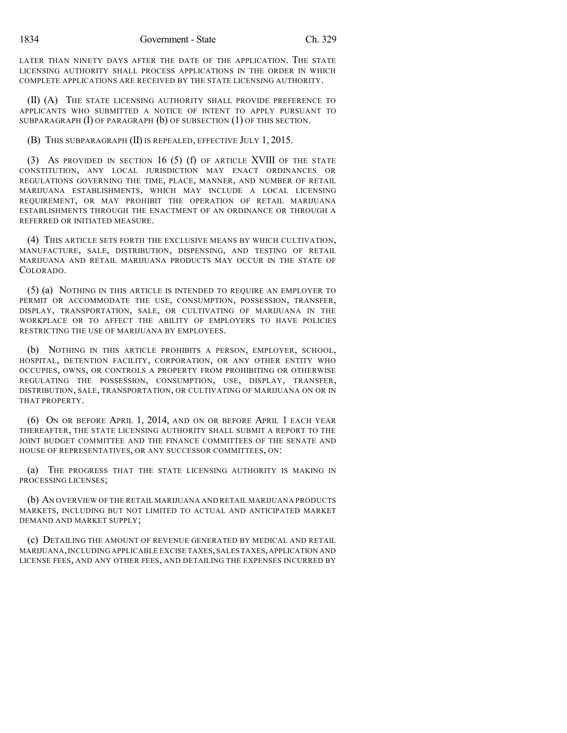LATER THAN NINETY DAYS AFTER THE DATE OF THE APPLICATION. THE STATE LICENSING AUTHORITY SHALL PROCESS APPLICATIONS IN THE ORDER IN WHICH COMPLETE APPLICATIONS ARE RECEIVED BY THE STATE LICENSING AUTHORITY.

(II) (A) THE STATE LICENSING AUTHORITY SHALL PROVIDE PREFERENCE TO APPLICANTS WHO SUBMITTED A NOTICE OF INTENT TO APPLY PURSUANT TO SUBPARAGRAPH (I) OF PARAGRAPH (b) OF SUBSECTION (1) OF THIS SECTION.

(B) THIS SUBPARAGRAPH (II) IS REPEALED, EFFECTIVE JULY 1, 2015.

(3) AS PROVIDED IN SECTION 16 (5) (f) OF ARTICLE XVIII OF THE STATE CONSTITUTION, ANY LOCAL JURISDICTION MAY ENACT ORDINANCES OR REGULATIONS GOVERNING THE TIME, PLACE, MANNER, AND NUMBER OF RETAIL MARIJUANA ESTABLISHMENTS, WHICH MAY INCLUDE A LOCAL LICENSING REQUIREMENT, OR MAY PROHIBIT THE OPERATION OF RETAIL MARIJUANA ESTABLISHMENTS THROUGH THE ENACTMENT OF AN ORDINANCE OR THROUGH A REFERRED OR INITIATED MEASURE.

(4) THIS ARTICLE SETS FORTH THE EXCLUSIVE MEANS BY WHICH CULTIVATION, MANUFACTURE, SALE, DISTRIBUTION, DISPENSING, AND TESTING OF RETAIL MARIJUANA AND RETAIL MARIJUANA PRODUCTS MAY OCCUR IN THE STATE OF COLORADO.

(5) (a) NOTHING IN THIS ARTICLE IS INTENDED TO REQUIRE AN EMPLOYER TO PERMIT OR ACCOMMODATE THE USE, CONSUMPTION, POSSESSION, TRANSFER, DISPLAY, TRANSPORTATION, SALE, OR CULTIVATING OF MARIJUANA IN THE WORKPLACE OR TO AFFECT THE ABILITY OF EMPLOYERS TO HAVE POLICIES RESTRICTING THE USE OF MARIJUANA BY EMPLOYEES.

(b) NOTHING IN THIS ARTICLE PROHIBITS A PERSON, EMPLOYER, SCHOOL, HOSPITAL, DETENTION FACILITY, CORPORATION, OR ANY OTHER ENTITY WHO OCCUPIES, OWNS, OR CONTROLS A PROPERTY FROM PROHIBITING OR OTHERWISE REGULATING THE POSSESSION, CONSUMPTION, USE, DISPLAY, TRANSFER, DISTRIBUTION, SALE, TRANSPORTATION, OR CULTIVATING OF MARIJUANA ON OR IN THAT PROPERTY.

(6) ON OR BEFORE APRIL 1, 2014, AND ON OR BEFORE APRIL 1 EACH YEAR THEREAFTER, THE STATE LICENSING AUTHORITY SHALL SUBMIT A REPORT TO THE JOINT BUDGET COMMITTEE AND THE FINANCE COMMITTEES OF THE SENATE AND HOUSE OF REPRESENTATIVES, OR ANY SUCCESSOR COMMITTEES, ON:

(a) THE PROGRESS THAT THE STATE LICENSING AUTHORITY IS MAKING IN PROCESSING LICENSES;

(b) AN OVERVIEW OF THE RETAIL MARIJUANA AND RETAIL MARIJUANA PRODUCTS MARKETS, INCLUDING BUT NOT LIMITED TO ACTUAL AND ANTICIPATED MARKET DEMAND AND MARKET SUPPLY;

(c) DETAILING THE AMOUNT OF REVENUE GENERATED BY MEDICAL AND RETAIL MARIJUANA, INCLUDING APPLICABLE EXCISE TAXES, SALES TAXES, APPLICATION AND LICENSE FEES, AND ANY OTHER FEES, AND DETAILING THE EXPENSES INCURRED BY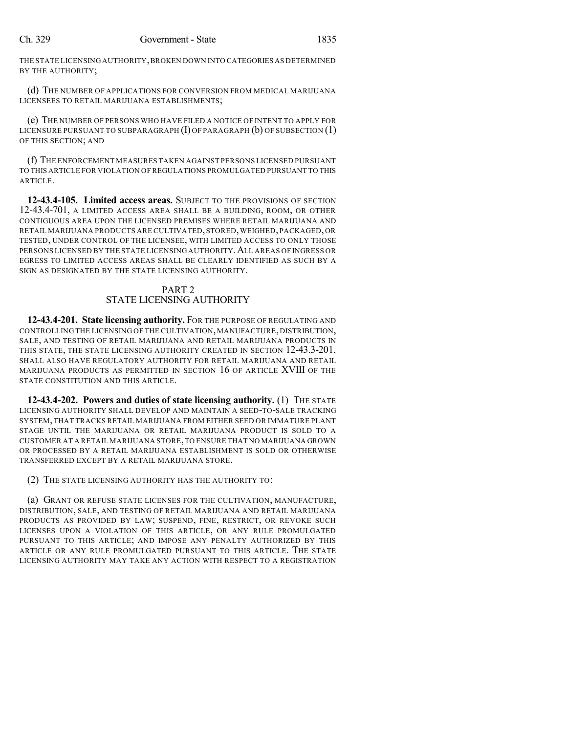THE STATE LICENSING AUTHORITY,BROKEN DOWN INTO CATEGORIES AS DETERMINED BY THE AUTHORITY;

(d) THE NUMBER OF APPLICATIONS FOR CONVERSION FROM MEDICAL MARIJUANA LICENSEES TO RETAIL MARIJUANA ESTABLISHMENTS;

(e) THE NUMBER OF PERSONS WHO HAVE FILED A NOTICE OF INTENT TO APPLY FOR LICENSURE PURSUANT TO SUBPARAGRAPH  $(I)$  OF PARAGRAPH  $(b)$  OF SUBSECTION  $(1)$ OF THIS SECTION; AND

(f) THE ENFORCEMENT MEASURES TAKEN AGAINST PERSONS LICENSED PURSUANT TO THIS ARTICLE FOR VIOLATION OF REGULATIONS PROMULGATED PURSUANT TO THIS ARTICLE.

**12-43.4-105. Limited access areas.** SUBJECT TO THE PROVISIONS OF SECTION 12-43.4-701, A LIMITED ACCESS AREA SHALL BE A BUILDING, ROOM, OR OTHER CONTIGUOUS AREA UPON THE LICENSED PREMISES WHERE RETAIL MARIJUANA AND RETAIL MARIJUANA PRODUCTS ARE CULTIVATED, STORED, WEIGHED, PACKAGED, OR TESTED, UNDER CONTROL OF THE LICENSEE, WITH LIMITED ACCESS TO ONLY THOSE PERSONS LICENSED BY THE STATE LICENSING AUTHORITY. ALL AREAS OF INGRESS OR EGRESS TO LIMITED ACCESS AREAS SHALL BE CLEARLY IDENTIFIED AS SUCH BY A SIGN AS DESIGNATED BY THE STATE LICENSING AUTHORITY.

## PART 2 STATE LICENSING AUTHORITY

**12-43.4-201. State licensing authority.** FOR THE PURPOSE OF REGULATING AND CONTROLLING THE LICENSING OF THE CULTIVATION, MANUFACTURE, DISTRIBUTION, SALE, AND TESTING OF RETAIL MARIJUANA AND RETAIL MARIJUANA PRODUCTS IN THIS STATE, THE STATE LICENSING AUTHORITY CREATED IN SECTION 12-43.3-201, SHALL ALSO HAVE REGULATORY AUTHORITY FOR RETAIL MARIJUANA AND RETAIL MARIJUANA PRODUCTS AS PERMITTED IN SECTION 16 OF ARTICLE XVIII OF THE STATE CONSTITUTION AND THIS ARTICLE.

**12-43.4-202. Powers and duties of state licensing authority.** (1) THE STATE LICENSING AUTHORITY SHALL DEVELOP AND MAINTAIN A SEED-TO-SALE TRACKING SYSTEM,THAT TRACKS RETAIL MARIJUANA FROM EITHER SEED OR IMMATURE PLANT STAGE UNTIL THE MARIJUANA OR RETAIL MARIJUANA PRODUCT IS SOLD TO A CUSTOMER AT A RETAIL MARIJUANA STORE,TO ENSURE THAT NO MARIJUANA GROWN OR PROCESSED BY A RETAIL MARIJUANA ESTABLISHMENT IS SOLD OR OTHERWISE TRANSFERRED EXCEPT BY A RETAIL MARIJUANA STORE.

(2) THE STATE LICENSING AUTHORITY HAS THE AUTHORITY TO:

(a) GRANT OR REFUSE STATE LICENSES FOR THE CULTIVATION, MANUFACTURE, DISTRIBUTION, SALE, AND TESTING OF RETAIL MARIJUANA AND RETAIL MARIJUANA PRODUCTS AS PROVIDED BY LAW; SUSPEND, FINE, RESTRICT, OR REVOKE SUCH LICENSES UPON A VIOLATION OF THIS ARTICLE, OR ANY RULE PROMULGATED PURSUANT TO THIS ARTICLE; AND IMPOSE ANY PENALTY AUTHORIZED BY THIS ARTICLE OR ANY RULE PROMULGATED PURSUANT TO THIS ARTICLE. THE STATE LICENSING AUTHORITY MAY TAKE ANY ACTION WITH RESPECT TO A REGISTRATION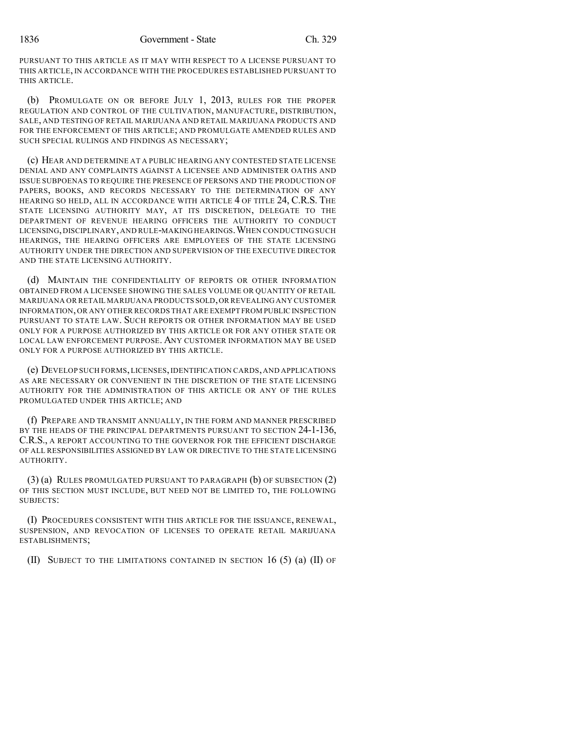PURSUANT TO THIS ARTICLE AS IT MAY WITH RESPECT TO A LICENSE PURSUANT TO THIS ARTICLE, IN ACCORDANCE WITH THE PROCEDURES ESTABLISHED PURSUANT TO THIS ARTICLE.

(b) PROMULGATE ON OR BEFORE JULY 1, 2013, RULES FOR THE PROPER REGULATION AND CONTROL OF THE CULTIVATION, MANUFACTURE, DISTRIBUTION, SALE, AND TESTING OF RETAIL MARIJUANA AND RETAIL MARIJUANA PRODUCTS AND FOR THE ENFORCEMENT OF THIS ARTICLE; AND PROMULGATE AMENDED RULES AND SUCH SPECIAL RULINGS AND FINDINGS AS NECESSARY;

(c) HEAR AND DETERMINE AT A PUBLIC HEARING ANY CONTESTED STATE LICENSE DENIAL AND ANY COMPLAINTS AGAINST A LICENSEE AND ADMINISTER OATHS AND ISSUE SUBPOENAS TO REQUIRE THE PRESENCE OF PERSONS AND THE PRODUCTION OF PAPERS, BOOKS, AND RECORDS NECESSARY TO THE DETERMINATION OF ANY HEARING SO HELD, ALL IN ACCORDANCE WITH ARTICLE 4 OF TITLE 24, C.R.S. THE STATE LICENSING AUTHORITY MAY, AT ITS DISCRETION, DELEGATE TO THE DEPARTMENT OF REVENUE HEARING OFFICERS THE AUTHORITY TO CONDUCT LICENSING,DISCIPLINARY,AND RULE-MAKING HEARINGS.WHEN CONDUCTING SUCH HEARINGS, THE HEARING OFFICERS ARE EMPLOYEES OF THE STATE LICENSING AUTHORITY UNDER THE DIRECTION AND SUPERVISION OF THE EXECUTIVE DIRECTOR AND THE STATE LICENSING AUTHORITY.

(d) MAINTAIN THE CONFIDENTIALITY OF REPORTS OR OTHER INFORMATION OBTAINED FROM A LICENSEE SHOWING THE SALES VOLUME OR QUANTITY OF RETAIL MARIJUANA OR RETAIL MARIJUANA PRODUCTS SOLD,OR REVEALING ANY CUSTOMER INFORMATION,OR ANY OTHER RECORDS THAT ARE EXEMPT FROM PUBLIC INSPECTION PURSUANT TO STATE LAW. SUCH REPORTS OR OTHER INFORMATION MAY BE USED ONLY FOR A PURPOSE AUTHORIZED BY THIS ARTICLE OR FOR ANY OTHER STATE OR LOCAL LAW ENFORCEMENT PURPOSE. ANY CUSTOMER INFORMATION MAY BE USED ONLY FOR A PURPOSE AUTHORIZED BY THIS ARTICLE.

(e) DEVELOP SUCH FORMS,LICENSES,IDENTIFICATION CARDS,AND APPLICATIONS AS ARE NECESSARY OR CONVENIENT IN THE DISCRETION OF THE STATE LICENSING AUTHORITY FOR THE ADMINISTRATION OF THIS ARTICLE OR ANY OF THE RULES PROMULGATED UNDER THIS ARTICLE; AND

(f) PREPARE AND TRANSMIT ANNUALLY, IN THE FORM AND MANNER PRESCRIBED BY THE HEADS OF THE PRINCIPAL DEPARTMENTS PURSUANT TO SECTION 24-1-136, C.R.S., A REPORT ACCOUNTING TO THE GOVERNOR FOR THE EFFICIENT DISCHARGE OF ALL RESPONSIBILITIES ASSIGNED BY LAW OR DIRECTIVE TO THE STATE LICENSING AUTHORITY.

(3) (a) RULES PROMULGATED PURSUANT TO PARAGRAPH (b) OF SUBSECTION (2) OF THIS SECTION MUST INCLUDE, BUT NEED NOT BE LIMITED TO, THE FOLLOWING SUBJECTS:

(I) PROCEDURES CONSISTENT WITH THIS ARTICLE FOR THE ISSUANCE, RENEWAL, SUSPENSION, AND REVOCATION OF LICENSES TO OPERATE RETAIL MARIJUANA ESTABLISHMENTS;

(II) SUBJECT TO THE LIMITATIONS CONTAINED IN SECTION 16 (5) (a) (II) OF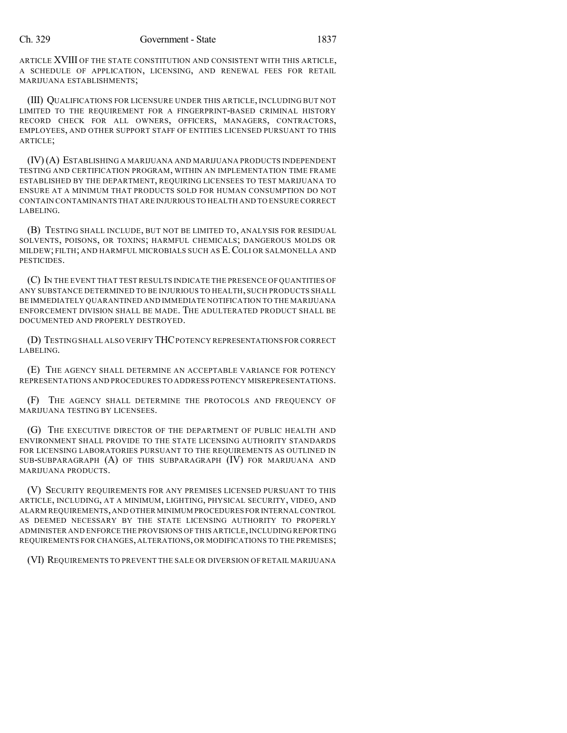ARTICLE XVIII OF THE STATE CONSTITUTION AND CONSISTENT WITH THIS ARTICLE, A SCHEDULE OF APPLICATION, LICENSING, AND RENEWAL FEES FOR RETAIL MARIJUANA ESTABLISHMENTS;

(III) QUALIFICATIONS FOR LICENSURE UNDER THIS ARTICLE, INCLUDING BUT NOT LIMITED TO THE REQUIREMENT FOR A FINGERPRINT-BASED CRIMINAL HISTORY RECORD CHECK FOR ALL OWNERS, OFFICERS, MANAGERS, CONTRACTORS, EMPLOYEES, AND OTHER SUPPORT STAFF OF ENTITIES LICENSED PURSUANT TO THIS ARTICLE;

(IV)(A) ESTABLISHING A MARIJUANA AND MARIJUANA PRODUCTS INDEPENDENT TESTING AND CERTIFICATION PROGRAM, WITHIN AN IMPLEMENTATION TIME FRAME ESTABLISHED BY THE DEPARTMENT, REQUIRING LICENSEES TO TEST MARIJUANA TO ENSURE AT A MINIMUM THAT PRODUCTS SOLD FOR HUMAN CONSUMPTION DO NOT CONTAIN CONTAMINANTS THAT ARE INJURIOUS TO HEALTH AND TO ENSURE CORRECT LABELING.

(B) TESTING SHALL INCLUDE, BUT NOT BE LIMITED TO, ANALYSIS FOR RESIDUAL SOLVENTS, POISONS, OR TOXINS; HARMFUL CHEMICALS; DANGEROUS MOLDS OR MILDEW; FILTH; AND HARMFUL MICROBIALS SUCH AS E.COLI OR SALMONELLA AND PESTICIDES.

(C) IN THE EVENT THAT TEST RESULTS INDICATE THE PRESENCE OF QUANTITIES OF ANY SUBSTANCE DETERMINED TO BE INJURIOUS TO HEALTH, SUCH PRODUCTS SHALL BE IMMEDIATELY QUARANTINED AND IMMEDIATE NOTIFICATION TO THE MARIJUANA ENFORCEMENT DIVISION SHALL BE MADE. THE ADULTERATED PRODUCT SHALL BE DOCUMENTED AND PROPERLY DESTROYED.

(D) TESTING SHALL ALSO VERIFY THCPOTENCY REPRESENTATIONS FOR CORRECT LABELING.

(E) THE AGENCY SHALL DETERMINE AN ACCEPTABLE VARIANCE FOR POTENCY REPRESENTATIONS AND PROCEDURES TO ADDRESS POTENCY MISREPRESENTATIONS.

(F) THE AGENCY SHALL DETERMINE THE PROTOCOLS AND FREQUENCY OF MARIJUANA TESTING BY LICENSEES.

(G) THE EXECUTIVE DIRECTOR OF THE DEPARTMENT OF PUBLIC HEALTH AND ENVIRONMENT SHALL PROVIDE TO THE STATE LICENSING AUTHORITY STANDARDS FOR LICENSING LABORATORIES PURSUANT TO THE REQUIREMENTS AS OUTLINED IN SUB-SUBPARAGRAPH (A) OF THIS SUBPARAGRAPH (IV) FOR MARIJUANA AND MARIJUANA PRODUCTS.

(V) SECURITY REQUIREMENTS FOR ANY PREMISES LICENSED PURSUANT TO THIS ARTICLE, INCLUDING, AT A MINIMUM, LIGHTING, PHYSICAL SECURITY, VIDEO, AND ALARM REQUIREMENTS,AND OTHER MINIMUM PROCEDURES FOR INTERNAL CONTROL AS DEEMED NECESSARY BY THE STATE LICENSING AUTHORITY TO PROPERLY ADMINISTER AND ENFORCE THE PROVISIONS OF THIS ARTICLE, INCLUDING REPORTING REQUIREMENTS FOR CHANGES, ALTERATIONS, OR MODIFICATIONS TO THE PREMISES;

(VI) REQUIREMENTS TO PREVENT THE SALE OR DIVERSION OF RETAIL MARIJUANA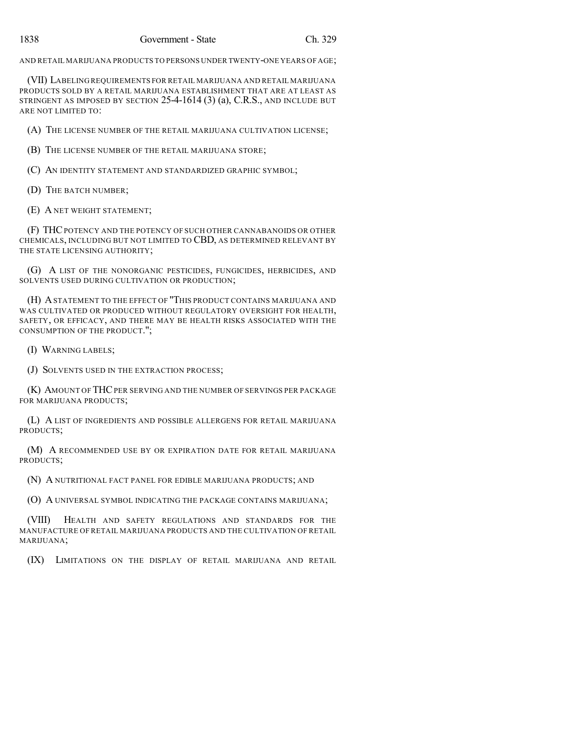AND RETAIL MARIJUANA PRODUCTS TO PERSONS UNDER TWENTY-ONE YEARS OF AGE;

(VII) LABELING REQUIREMENTS FOR RETAIL MARIJUANA AND RETAIL MARIJUANA PRODUCTS SOLD BY A RETAIL MARIJUANA ESTABLISHMENT THAT ARE AT LEAST AS STRINGENT AS IMPOSED BY SECTION 25-4-1614 (3) (a), C.R.S., AND INCLUDE BUT ARE NOT LIMITED TO:

(A) THE LICENSE NUMBER OF THE RETAIL MARIJUANA CULTIVATION LICENSE;

(B) THE LICENSE NUMBER OF THE RETAIL MARIJUANA STORE;

(C) AN IDENTITY STATEMENT AND STANDARDIZED GRAPHIC SYMBOL;

(D) THE BATCH NUMBER;

(E) A NET WEIGHT STATEMENT;

(F) THCPOTENCY AND THE POTENCY OF SUCH OTHER CANNABANOIDS OR OTHER CHEMICALS, INCLUDING BUT NOT LIMITED TO CBD, AS DETERMINED RELEVANT BY THE STATE LICENSING AUTHORITY;

(G) A LIST OF THE NONORGANIC PESTICIDES, FUNGICIDES, HERBICIDES, AND SOLVENTS USED DURING CULTIVATION OR PRODUCTION;

(H) ASTATEMENT TO THE EFFECT OF "THIS PRODUCT CONTAINS MARIJUANA AND WAS CULTIVATED OR PRODUCED WITHOUT REGULATORY OVERSIGHT FOR HEALTH, SAFETY, OR EFFICACY, AND THERE MAY BE HEALTH RISKS ASSOCIATED WITH THE CONSUMPTION OF THE PRODUCT.";

(I) WARNING LABELS;

(J) SOLVENTS USED IN THE EXTRACTION PROCESS;

(K) AMOUNT OF THCPER SERVING AND THE NUMBER OF SERVINGS PER PACKAGE FOR MARIJUANA PRODUCTS;

(L) A LIST OF INGREDIENTS AND POSSIBLE ALLERGENS FOR RETAIL MARIJUANA PRODUCTS;

(M) A RECOMMENDED USE BY OR EXPIRATION DATE FOR RETAIL MARIJUANA PRODUCTS;

(N) A NUTRITIONAL FACT PANEL FOR EDIBLE MARIJUANA PRODUCTS; AND

(O) A UNIVERSAL SYMBOL INDICATING THE PACKAGE CONTAINS MARIJUANA;

(VIII) HEALTH AND SAFETY REGULATIONS AND STANDARDS FOR THE MANUFACTURE OF RETAIL MARIJUANA PRODUCTS AND THE CULTIVATION OF RETAIL MARIJUANA;

(IX) LIMITATIONS ON THE DISPLAY OF RETAIL MARIJUANA AND RETAIL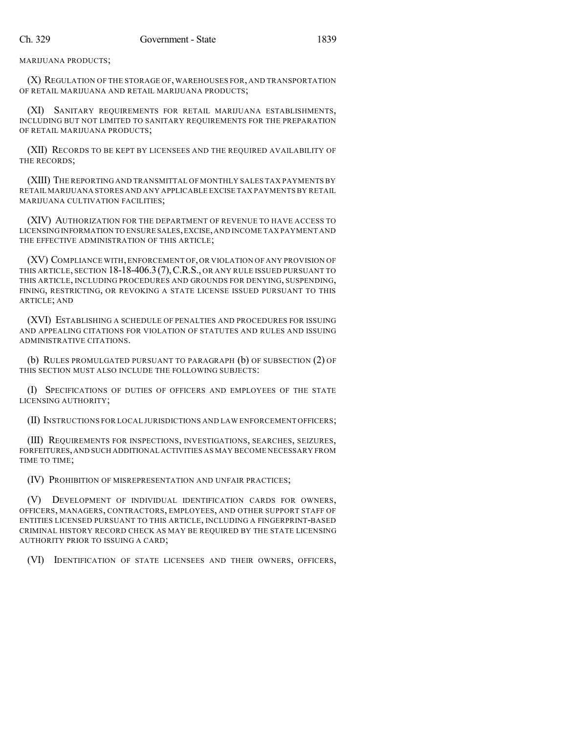MARIJUANA PRODUCTS;

(X) REGULATION OF THE STORAGE OF, WAREHOUSES FOR, AND TRANSPORTATION OF RETAIL MARIJUANA AND RETAIL MARIJUANA PRODUCTS;

(XI) SANITARY REQUIREMENTS FOR RETAIL MARIJUANA ESTABLISHMENTS, INCLUDING BUT NOT LIMITED TO SANITARY REQUIREMENTS FOR THE PREPARATION OF RETAIL MARIJUANA PRODUCTS;

(XII) RECORDS TO BE KEPT BY LICENSEES AND THE REQUIRED AVAILABILITY OF THE RECORDS;

(XIII) THE REPORTING AND TRANSMITTAL OF MONTHLY SALES TAX PAYMENTS BY RETAIL MARIJUANA STORES AND ANY APPLICABLE EXCISE TAX PAYMENTS BY RETAIL MARIJUANA CULTIVATION FACILITIES;

(XIV) AUTHORIZATION FOR THE DEPARTMENT OF REVENUE TO HAVE ACCESS TO LICENSING INFORMATION TO ENSURE SALES,EXCISE,AND INCOME TAX PAYMENT AND THE EFFECTIVE ADMINISTRATION OF THIS ARTICLE;

(XV) COMPLIANCE WITH,ENFORCEMENT OF,OR VIOLATION OF ANY PROVISION OF THIS ARTICLE, SECTION 18-18-406.3(7),C.R.S., OR ANY RULE ISSUED PURSUANT TO THIS ARTICLE, INCLUDING PROCEDURES AND GROUNDS FOR DENYING, SUSPENDING, FINING, RESTRICTING, OR REVOKING A STATE LICENSE ISSUED PURSUANT TO THIS ARTICLE; AND

(XVI) ESTABLISHING A SCHEDULE OF PENALTIES AND PROCEDURES FOR ISSUING AND APPEALING CITATIONS FOR VIOLATION OF STATUTES AND RULES AND ISSUING ADMINISTRATIVE CITATIONS.

(b) RULES PROMULGATED PURSUANT TO PARAGRAPH (b) OF SUBSECTION (2) OF THIS SECTION MUST ALSO INCLUDE THE FOLLOWING SUBJECTS:

(I) SPECIFICATIONS OF DUTIES OF OFFICERS AND EMPLOYEES OF THE STATE LICENSING AUTHORITY;

(II) INSTRUCTIONS FOR LOCAL JURISDICTIONS AND LAW ENFORCEMENT OFFICERS;

(III) REQUIREMENTS FOR INSPECTIONS, INVESTIGATIONS, SEARCHES, SEIZURES, FORFEITURES,AND SUCH ADDITIONAL ACTIVITIES AS MAY BECOME NECESSARY FROM TIME TO TIME;

(IV) PROHIBITION OF MISREPRESENTATION AND UNFAIR PRACTICES;

(V) DEVELOPMENT OF INDIVIDUAL IDENTIFICATION CARDS FOR OWNERS, OFFICERS, MANAGERS, CONTRACTORS, EMPLOYEES, AND OTHER SUPPORT STAFF OF ENTITIES LICENSED PURSUANT TO THIS ARTICLE, INCLUDING A FINGERPRINT-BASED CRIMINAL HISTORY RECORD CHECK AS MAY BE REQUIRED BY THE STATE LICENSING AUTHORITY PRIOR TO ISSUING A CARD;

(VI) IDENTIFICATION OF STATE LICENSEES AND THEIR OWNERS, OFFICERS,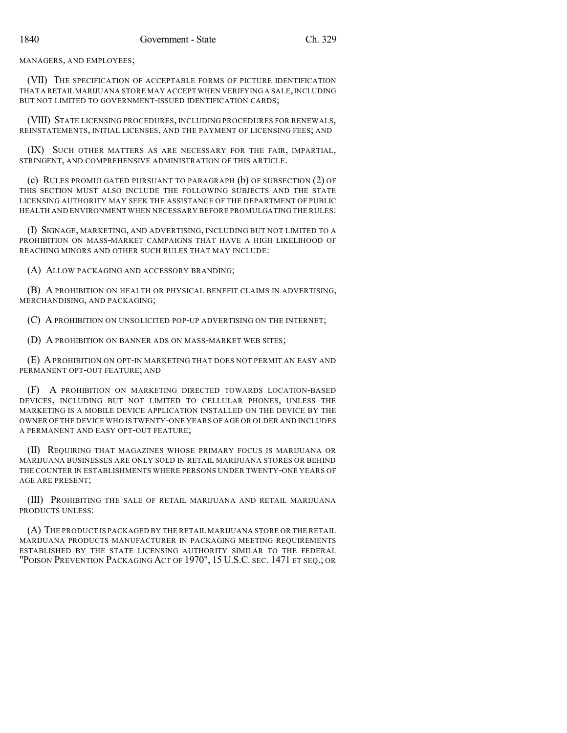MANAGERS, AND EMPLOYEES;

(VII) THE SPECIFICATION OF ACCEPTABLE FORMS OF PICTURE IDENTIFICATION THAT A RETAIL MARIJUANA STORE MAY ACCEPT WHEN VERIFYING A SALE,INCLUDING BUT NOT LIMITED TO GOVERNMENT-ISSUED IDENTIFICATION CARDS;

(VIII) STATE LICENSING PROCEDURES, INCLUDING PROCEDURES FOR RENEWALS, REINSTATEMENTS, INITIAL LICENSES, AND THE PAYMENT OF LICENSING FEES; AND

(IX) SUCH OTHER MATTERS AS ARE NECESSARY FOR THE FAIR, IMPARTIAL, STRINGENT, AND COMPREHENSIVE ADMINISTRATION OF THIS ARTICLE.

(c) RULES PROMULGATED PURSUANT TO PARAGRAPH (b) OF SUBSECTION (2) OF THIS SECTION MUST ALSO INCLUDE THE FOLLOWING SUBJECTS AND THE STATE LICENSING AUTHORITY MAY SEEK THE ASSISTANCE OF THE DEPARTMENT OF PUBLIC HEALTH AND ENVIRONMENT WHEN NECESSARY BEFORE PROMULGATING THE RULES:

(I) SIGNAGE, MARKETING, AND ADVERTISING, INCLUDING BUT NOT LIMITED TO A PROHIBITION ON MASS-MARKET CAMPAIGNS THAT HAVE A HIGH LIKELIHOOD OF REACHING MINORS AND OTHER SUCH RULES THAT MAY INCLUDE:

(A) ALLOW PACKAGING AND ACCESSORY BRANDING;

(B) A PROHIBITION ON HEALTH OR PHYSICAL BENEFIT CLAIMS IN ADVERTISING, MERCHANDISING, AND PACKAGING;

(C) A PROHIBITION ON UNSOLICITED POP-UP ADVERTISING ON THE INTERNET;

(D) A PROHIBITION ON BANNER ADS ON MASS-MARKET WEB SITES;

(E) APROHIBITION ON OPT-IN MARKETING THAT DOES NOT PERMIT AN EASY AND PERMANENT OPT-OUT FEATURE; AND

(F) A PROHIBITION ON MARKETING DIRECTED TOWARDS LOCATION-BASED DEVICES, INCLUDING BUT NOT LIMITED TO CELLULAR PHONES, UNLESS THE MARKETING IS A MOBILE DEVICE APPLICATION INSTALLED ON THE DEVICE BY THE OWNER OF THE DEVICE WHO IS TWENTY-ONE YEARS OF AGE OR OLDER AND INCLUDES A PERMANENT AND EASY OPT-OUT FEATURE;

(II) REQUIRING THAT MAGAZINES WHOSE PRIMARY FOCUS IS MARIJUANA OR MARIJUANA BUSINESSES ARE ONLY SOLD IN RETAIL MARIJUANA STORES OR BEHIND THE COUNTER IN ESTABLISHMENTS WHERE PERSONS UNDER TWENTY-ONE YEARS OF AGE ARE PRESENT;

(III) PROHIBITING THE SALE OF RETAIL MARIJUANA AND RETAIL MARIJUANA PRODUCTS UNLESS:

(A) THE PRODUCT IS PACKAGED BY THE RETAIL MARIJUANA STORE OR THE RETAIL MARIJUANA PRODUCTS MANUFACTURER IN PACKAGING MEETING REQUIREMENTS ESTABLISHED BY THE STATE LICENSING AUTHORITY SIMILAR TO THE FEDERAL "POISON PREVENTION PACKAGING ACT OF 1970", 15 U.S.C. SEC. 1471 ET SEQ.; OR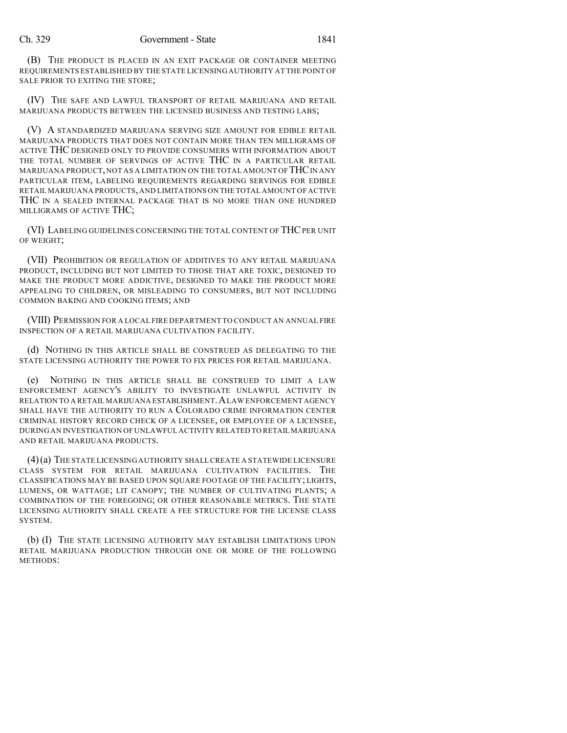(B) THE PRODUCT IS PLACED IN AN EXIT PACKAGE OR CONTAINER MEETING REQUIREMENTS ESTABLISHED BY THE STATE LICENSING AUTHORITY AT THE POINT OF SALE PRIOR TO EXITING THE STORE;

(IV) THE SAFE AND LAWFUL TRANSPORT OF RETAIL MARIJUANA AND RETAIL MARIJUANA PRODUCTS BETWEEN THE LICENSED BUSINESS AND TESTING LABS;

(V) A STANDARDIZED MARIJUANA SERVING SIZE AMOUNT FOR EDIBLE RETAIL MARIJUANA PRODUCTS THAT DOES NOT CONTAIN MORE THAN TEN MILLIGRAMS OF ACTIVE THC DESIGNED ONLY TO PROVIDE CONSUMERS WITH INFORMATION ABOUT THE TOTAL NUMBER OF SERVINGS OF ACTIVE THC IN A PARTICULAR RETAIL MARIJUANA PRODUCT, NOT AS A LIMITATION ON THE TOTAL AMOUNT OF THC IN ANY PARTICULAR ITEM, LABELING REQUIREMENTS REGARDING SERVINGS FOR EDIBLE RETAIL MARIJUANA PRODUCTS,AND LIMITATIONS ON THE TOTAL AMOUNT OF ACTIVE THC IN A SEALED INTERNAL PACKAGE THAT IS NO MORE THAN ONE HUNDRED MILLIGRAMS OF ACTIVE THC;

(VI) LABELING GUIDELINES CONCERNING THE TOTAL CONTENT OF THCPER UNIT OF WEIGHT;

(VII) PROHIBITION OR REGULATION OF ADDITIVES TO ANY RETAIL MARIJUANA PRODUCT, INCLUDING BUT NOT LIMITED TO THOSE THAT ARE TOXIC, DESIGNED TO MAKE THE PRODUCT MORE ADDICTIVE, DESIGNED TO MAKE THE PRODUCT MORE APPEALING TO CHILDREN, OR MISLEADING TO CONSUMERS, BUT NOT INCLUDING COMMON BAKING AND COOKING ITEMS; AND

(VIII) PERMISSION FOR A LOCAL FIRE DEPARTMENT TO CONDUCT AN ANNUAL FIRE INSPECTION OF A RETAIL MARIJUANA CULTIVATION FACILITY.

(d) NOTHING IN THIS ARTICLE SHALL BE CONSTRUED AS DELEGATING TO THE STATE LICENSING AUTHORITY THE POWER TO FIX PRICES FOR RETAIL MARIJUANA.

(e) NOTHING IN THIS ARTICLE SHALL BE CONSTRUED TO LIMIT A LAW ENFORCEMENT AGENCY'S ABILITY TO INVESTIGATE UNLAWFUL ACTIVITY IN RELATION TO A RETAIL MARIJUANA ESTABLISHMENT. A LAW ENFORCEMENT AGENCY SHALL HAVE THE AUTHORITY TO RUN A COLORADO CRIME INFORMATION CENTER CRIMINAL HISTORY RECORD CHECK OF A LICENSEE, OR EMPLOYEE OF A LICENSEE, DURING AN INVESTIGATION OF UNLAWFUL ACTIVITY RELATED TO RETAIL MARIJUANA AND RETAIL MARIJUANA PRODUCTS.

(4)(a) THE STATE LICENSING AUTHORITY SHALL CREATE A STATEWIDE LICENSURE CLASS SYSTEM FOR RETAIL MARIJUANA CULTIVATION FACILITIES. THE CLASSIFICATIONS MAY BE BASED UPON SQUARE FOOTAGE OF THE FACILITY; LIGHTS, LUMENS, OR WATTAGE; LIT CANOPY; THE NUMBER OF CULTIVATING PLANTS; A COMBINATION OF THE FOREGOING; OR OTHER REASONABLE METRICS. THE STATE LICENSING AUTHORITY SHALL CREATE A FEE STRUCTURE FOR THE LICENSE CLASS SYSTEM.

(b) (I) THE STATE LICENSING AUTHORITY MAY ESTABLISH LIMITATIONS UPON RETAIL MARIJUANA PRODUCTION THROUGH ONE OR MORE OF THE FOLLOWING METHODS: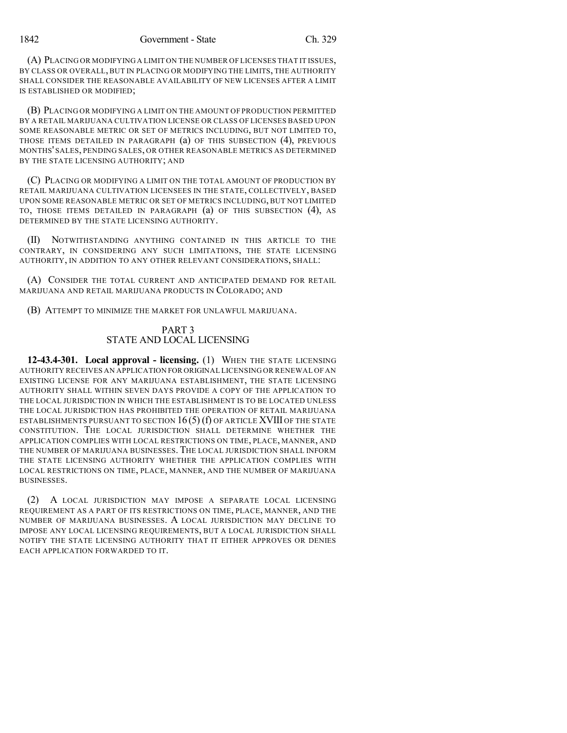(A) PLACING OR MODIFYING A LIMIT ON THE NUMBER OF LICENSES THAT IT ISSUES, BY CLASS OR OVERALL, BUT IN PLACING OR MODIFYING THE LIMITS, THE AUTHORITY SHALL CONSIDER THE REASONABLE AVAILABILITY OF NEW LICENSES AFTER A LIMIT IS ESTABLISHED OR MODIFIED;

(B) PLACING OR MODIFYING A LIMIT ON THE AMOUNT OF PRODUCTION PERMITTED BY A RETAIL MARIJUANA CULTIVATION LICENSE OR CLASS OF LICENSES BASED UPON SOME REASONABLE METRIC OR SET OF METRICS INCLUDING, BUT NOT LIMITED TO, THOSE ITEMS DETAILED IN PARAGRAPH (a) OF THIS SUBSECTION (4), PREVIOUS MONTHS' SALES, PENDING SALES, OR OTHER REASONABLE METRICS AS DETERMINED BY THE STATE LICENSING AUTHORITY; AND

(C) PLACING OR MODIFYING A LIMIT ON THE TOTAL AMOUNT OF PRODUCTION BY RETAIL MARIJUANA CULTIVATION LICENSEES IN THE STATE, COLLECTIVELY, BASED UPON SOME REASONABLE METRIC OR SET OF METRICS INCLUDING, BUT NOT LIMITED TO, THOSE ITEMS DETAILED IN PARAGRAPH (a) OF THIS SUBSECTION (4), AS DETERMINED BY THE STATE LICENSING AUTHORITY.

(II) NOTWITHSTANDING ANYTHING CONTAINED IN THIS ARTICLE TO THE CONTRARY, IN CONSIDERING ANY SUCH LIMITATIONS, THE STATE LICENSING AUTHORITY, IN ADDITION TO ANY OTHER RELEVANT CONSIDERATIONS, SHALL:

(A) CONSIDER THE TOTAL CURRENT AND ANTICIPATED DEMAND FOR RETAIL MARIJUANA AND RETAIL MARIJUANA PRODUCTS IN COLORADO; AND

(B) ATTEMPT TO MINIMIZE THE MARKET FOR UNLAWFUL MARIJUANA.

## PART 3 STATE AND LOCAL LICENSING

**12-43.4-301. Local approval - licensing.** (1) WHEN THE STATE LICENSING AUTHORITY RECEIVES AN APPLICATION FOR ORIGINAL LICENSING OR RENEWAL OF AN EXISTING LICENSE FOR ANY MARIJUANA ESTABLISHMENT, THE STATE LICENSING AUTHORITY SHALL WITHIN SEVEN DAYS PROVIDE A COPY OF THE APPLICATION TO THE LOCAL JURISDICTION IN WHICH THE ESTABLISHMENT IS TO BE LOCATED UNLESS THE LOCAL JURISDICTION HAS PROHIBITED THE OPERATION OF RETAIL MARIJUANA ESTABLISHMENTS PURSUANT TO SECTION 16 (5) (f) OF ARTICLE XVIII OF THE STATE CONSTITUTION. THE LOCAL JURISDICTION SHALL DETERMINE WHETHER THE APPLICATION COMPLIES WITH LOCAL RESTRICTIONS ON TIME, PLACE, MANNER, AND THE NUMBER OF MARIJUANA BUSINESSES. THE LOCAL JURISDICTION SHALL INFORM THE STATE LICENSING AUTHORITY WHETHER THE APPLICATION COMPLIES WITH LOCAL RESTRICTIONS ON TIME, PLACE, MANNER, AND THE NUMBER OF MARIJUANA BUSINESSES.

(2) A LOCAL JURISDICTION MAY IMPOSE A SEPARATE LOCAL LICENSING REQUIREMENT AS A PART OF ITS RESTRICTIONS ON TIME, PLACE, MANNER, AND THE NUMBER OF MARIJUANA BUSINESSES. A LOCAL JURISDICTION MAY DECLINE TO IMPOSE ANY LOCAL LICENSING REQUIREMENTS, BUT A LOCAL JURISDICTION SHALL NOTIFY THE STATE LICENSING AUTHORITY THAT IT EITHER APPROVES OR DENIES EACH APPLICATION FORWARDED TO IT.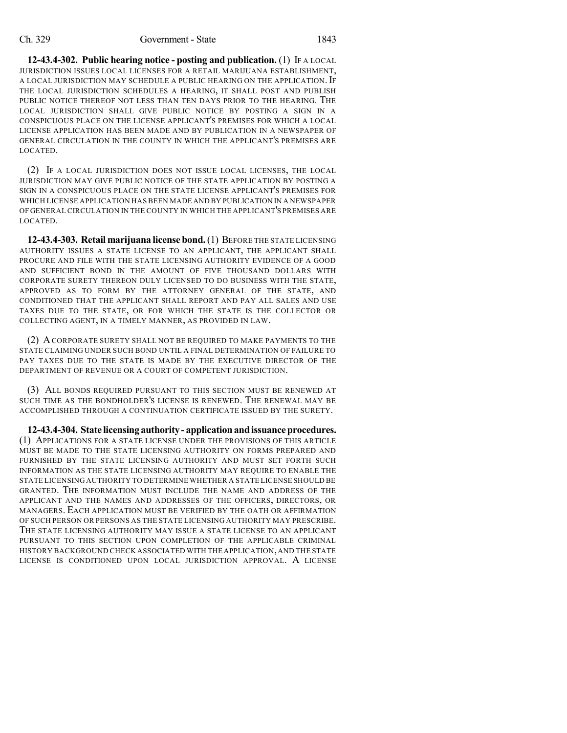#### Ch. 329 Government - State 1843

**12-43.4-302. Public hearing notice - posting and publication.** (1) IF A LOCAL JURISDICTION ISSUES LOCAL LICENSES FOR A RETAIL MARIJUANA ESTABLISHMENT, A LOCAL JURISDICTION MAY SCHEDULE A PUBLIC HEARING ON THE APPLICATION. IF THE LOCAL JURISDICTION SCHEDULES A HEARING, IT SHALL POST AND PUBLISH PUBLIC NOTICE THEREOF NOT LESS THAN TEN DAYS PRIOR TO THE HEARING. THE LOCAL JURISDICTION SHALL GIVE PUBLIC NOTICE BY POSTING A SIGN IN A CONSPICUOUS PLACE ON THE LICENSE APPLICANT'S PREMISES FOR WHICH A LOCAL LICENSE APPLICATION HAS BEEN MADE AND BY PUBLICATION IN A NEWSPAPER OF GENERAL CIRCULATION IN THE COUNTY IN WHICH THE APPLICANT'S PREMISES ARE LOCATED.

(2) IF A LOCAL JURISDICTION DOES NOT ISSUE LOCAL LICENSES, THE LOCAL JURISDICTION MAY GIVE PUBLIC NOTICE OF THE STATE APPLICATION BY POSTING A SIGN IN A CONSPICUOUS PLACE ON THE STATE LICENSE APPLICANT'S PREMISES FOR WHICH LICENSE APPLICATION HAS BEEN MADE AND BY PUBLICATION IN A NEWSPAPER OF GENERAL CIRCULATION IN THE COUNTY IN WHICH THE APPLICANT'S PREMISES ARE LOCATED.

**12-43.4-303. Retail marijuana license bond.**(1) BEFORE THE STATE LICENSING AUTHORITY ISSUES A STATE LICENSE TO AN APPLICANT, THE APPLICANT SHALL PROCURE AND FILE WITH THE STATE LICENSING AUTHORITY EVIDENCE OF A GOOD AND SUFFICIENT BOND IN THE AMOUNT OF FIVE THOUSAND DOLLARS WITH CORPORATE SURETY THEREON DULY LICENSED TO DO BUSINESS WITH THE STATE, APPROVED AS TO FORM BY THE ATTORNEY GENERAL OF THE STATE, AND CONDITIONED THAT THE APPLICANT SHALL REPORT AND PAY ALL SALES AND USE TAXES DUE TO THE STATE, OR FOR WHICH THE STATE IS THE COLLECTOR OR COLLECTING AGENT, IN A TIMELY MANNER, AS PROVIDED IN LAW.

(2) ACORPORATE SURETY SHALL NOT BE REQUIRED TO MAKE PAYMENTS TO THE STATE CLAIMING UNDER SUCH BOND UNTIL A FINAL DETERMINATION OF FAILURE TO PAY TAXES DUE TO THE STATE IS MADE BY THE EXECUTIVE DIRECTOR OF THE DEPARTMENT OF REVENUE OR A COURT OF COMPETENT JURISDICTION.

(3) ALL BONDS REQUIRED PURSUANT TO THIS SECTION MUST BE RENEWED AT SUCH TIME AS THE BONDHOLDER'S LICENSE IS RENEWED. THE RENEWAL MAY BE ACCOMPLISHED THROUGH A CONTINUATION CERTIFICATE ISSUED BY THE SURETY.

**12-43.4-304. State licensingauthority- applicationandissuanceprocedures.** (1) APPLICATIONS FOR A STATE LICENSE UNDER THE PROVISIONS OF THIS ARTICLE MUST BE MADE TO THE STATE LICENSING AUTHORITY ON FORMS PREPARED AND FURNISHED BY THE STATE LICENSING AUTHORITY AND MUST SET FORTH SUCH INFORMATION AS THE STATE LICENSING AUTHORITY MAY REQUIRE TO ENABLE THE STATE LICENSING AUTHORITY TO DETERMINE WHETHER A STATE LICENSE SHOULD BE GRANTED. THE INFORMATION MUST INCLUDE THE NAME AND ADDRESS OF THE APPLICANT AND THE NAMES AND ADDRESSES OF THE OFFICERS, DIRECTORS, OR MANAGERS. EACH APPLICATION MUST BE VERIFIED BY THE OATH OR AFFIRMATION OF SUCH PERSON OR PERSONS AS THE STATE LICENSING AUTHORITY MAY PRESCRIBE. THE STATE LICENSING AUTHORITY MAY ISSUE A STATE LICENSE TO AN APPLICANT PURSUANT TO THIS SECTION UPON COMPLETION OF THE APPLICABLE CRIMINAL HISTORY BACKGROUND CHECK ASSOCIATED WITH THE APPLICATION,AND THE STATE LICENSE IS CONDITIONED UPON LOCAL JURISDICTION APPROVAL. A LICENSE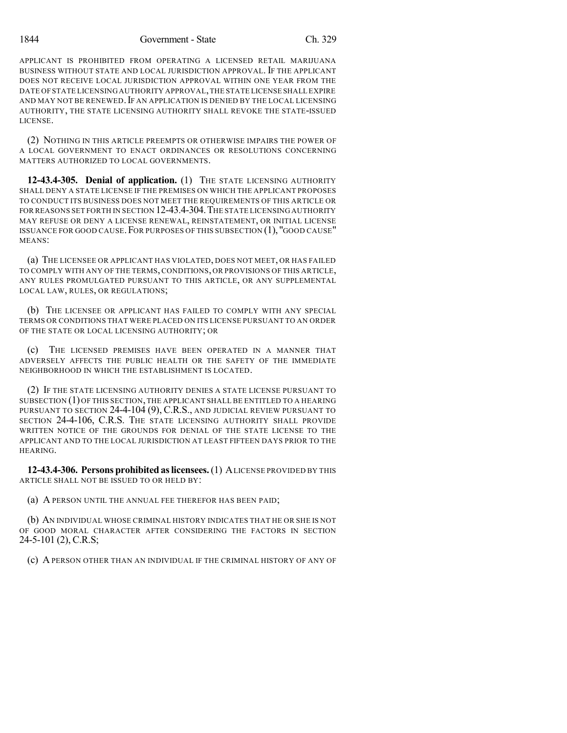APPLICANT IS PROHIBITED FROM OPERATING A LICENSED RETAIL MARIJUANA BUSINESS WITHOUT STATE AND LOCAL JURISDICTION APPROVAL. IF THE APPLICANT DOES NOT RECEIVE LOCAL JURISDICTION APPROVAL WITHIN ONE YEAR FROM THE DATE OF STATE LICENSING AUTHORITY APPROVAL,THE STATE LICENSE SHALL EXPIRE AND MAY NOT BE RENEWED. IF AN APPLICATION IS DENIED BY THE LOCAL LICENSING AUTHORITY, THE STATE LICENSING AUTHORITY SHALL REVOKE THE STATE-ISSUED LICENSE.

(2) NOTHING IN THIS ARTICLE PREEMPTS OR OTHERWISE IMPAIRS THE POWER OF A LOCAL GOVERNMENT TO ENACT ORDINANCES OR RESOLUTIONS CONCERNING MATTERS AUTHORIZED TO LOCAL GOVERNMENTS.

**12-43.4-305. Denial of application.** (1) THE STATE LICENSING AUTHORITY SHALL DENY A STATE LICENSE IF THE PREMISES ON WHICH THE APPLICANT PROPOSES TO CONDUCT ITS BUSINESS DOES NOT MEET THE REQUIREMENTS OF THIS ARTICLE OR FOR REASONS SET FOR THIN SECTION 12-43.4-304. THE STATE LICENSING AUTHORITY MAY REFUSE OR DENY A LICENSE RENEWAL, REINSTATEMENT, OR INITIAL LICENSE ISSUANCE FOR GOOD CAUSE.FOR PURPOSES OF THIS SUBSECTION (1), "GOOD CAUSE" MEANS:

(a) THE LICENSEE OR APPLICANT HAS VIOLATED, DOES NOT MEET, OR HAS FAILED TO COMPLY WITH ANY OF THE TERMS, CONDITIONS, OR PROVISIONS OF THIS ARTICLE, ANY RULES PROMULGATED PURSUANT TO THIS ARTICLE, OR ANY SUPPLEMENTAL LOCAL LAW, RULES, OR REGULATIONS;

(b) THE LICENSEE OR APPLICANT HAS FAILED TO COMPLY WITH ANY SPECIAL TERMS OR CONDITIONS THAT WERE PLACED ON ITS LICENSE PURSUANT TO AN ORDER OF THE STATE OR LOCAL LICENSING AUTHORITY; OR

(c) THE LICENSED PREMISES HAVE BEEN OPERATED IN A MANNER THAT ADVERSELY AFFECTS THE PUBLIC HEALTH OR THE SAFETY OF THE IMMEDIATE NEIGHBORHOOD IN WHICH THE ESTABLISHMENT IS LOCATED.

(2) IF THE STATE LICENSING AUTHORITY DENIES A STATE LICENSE PURSUANT TO SUBSECTION  $(1)$  OF THIS SECTION, THE APPLICANT SHALL BE ENTITLED TO A HEARING PURSUANT TO SECTION 24-4-104 (9), C.R.S., AND JUDICIAL REVIEW PURSUANT TO SECTION 24-4-106, C.R.S. THE STATE LICENSING AUTHORITY SHALL PROVIDE WRITTEN NOTICE OF THE GROUNDS FOR DENIAL OF THE STATE LICENSE TO THE APPLICANT AND TO THE LOCAL JURISDICTION AT LEAST FIFTEEN DAYS PRIOR TO THE HEARING.

**12-43.4-306. Persons prohibitedaslicensees.**(1) ALICENSE PROVIDED BY THIS ARTICLE SHALL NOT BE ISSUED TO OR HELD BY:

(a) A PERSON UNTIL THE ANNUAL FEE THEREFOR HAS BEEN PAID;

(b) AN INDIVIDUAL WHOSE CRIMINAL HISTORY INDICATES THAT HE OR SHE IS NOT OF GOOD MORAL CHARACTER AFTER CONSIDERING THE FACTORS IN SECTION 24-5-101 (2), C.R.S;

(c) A PERSON OTHER THAN AN INDIVIDUAL IF THE CRIMINAL HISTORY OF ANY OF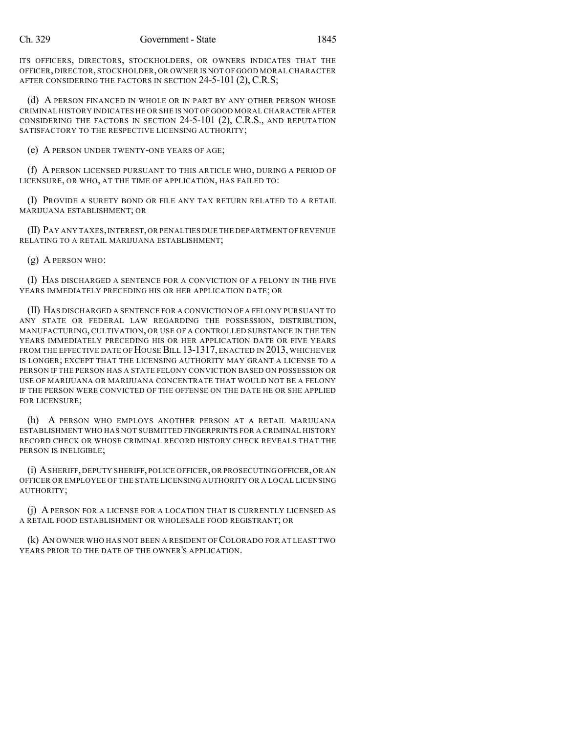ITS OFFICERS, DIRECTORS, STOCKHOLDERS, OR OWNERS INDICATES THAT THE OFFICER, DIRECTOR, STOCKHOLDER, OR OWNER IS NOT OF GOOD MORAL CHARACTER AFTER CONSIDERING THE FACTORS IN SECTION 24-5-101 (2), C.R.S;

(d) A PERSON FINANCED IN WHOLE OR IN PART BY ANY OTHER PERSON WHOSE CRIMINAL HISTORY INDICATES HE OR SHE IS NOT OF GOOD MORAL CHARACTER AFTER CONSIDERING THE FACTORS IN SECTION 24-5-101 (2), C.R.S., AND REPUTATION SATISFACTORY TO THE RESPECTIVE LICENSING AUTHORITY;

(e) A PERSON UNDER TWENTY-ONE YEARS OF AGE;

(f) A PERSON LICENSED PURSUANT TO THIS ARTICLE WHO, DURING A PERIOD OF LICENSURE, OR WHO, AT THE TIME OF APPLICATION, HAS FAILED TO:

(I) PROVIDE A SURETY BOND OR FILE ANY TAX RETURN RELATED TO A RETAIL MARIJUANA ESTABLISHMENT; OR

(II) PAY ANY TAXES,INTEREST,OR PENALTIES DUE THE DEPARTMENT OF REVENUE RELATING TO A RETAIL MARIJUANA ESTABLISHMENT;

(g) A PERSON WHO:

(I) HAS DISCHARGED A SENTENCE FOR A CONVICTION OF A FELONY IN THE FIVE YEARS IMMEDIATELY PRECEDING HIS OR HER APPLICATION DATE; OR

(II) HAS DISCHARGED A SENTENCE FOR A CONVICTION OF A FELONY PURSUANT TO ANY STATE OR FEDERAL LAW REGARDING THE POSSESSION, DISTRIBUTION, MANUFACTURING, CULTIVATION, OR USE OF A CONTROLLED SUBSTANCE IN THE TEN YEARS IMMEDIATELY PRECEDING HIS OR HER APPLICATION DATE OR FIVE YEARS FROM THE EFFECTIVE DATE OF HOUSE BILL 13-1317, ENACTED IN 2013, WHICHEVER IS LONGER; EXCEPT THAT THE LICENSING AUTHORITY MAY GRANT A LICENSE TO A PERSON IF THE PERSON HAS A STATE FELONY CONVICTION BASED ON POSSESSION OR USE OF MARIJUANA OR MARIJUANA CONCENTRATE THAT WOULD NOT BE A FELONY IF THE PERSON WERE CONVICTED OF THE OFFENSE ON THE DATE HE OR SHE APPLIED FOR LICENSURE;

(h) A PERSON WHO EMPLOYS ANOTHER PERSON AT A RETAIL MARIJUANA ESTABLISHMENT WHO HAS NOT SUBMITTED FINGERPRINTS FOR A CRIMINAL HISTORY RECORD CHECK OR WHOSE CRIMINAL RECORD HISTORY CHECK REVEALS THAT THE PERSON IS INELIGIBLE;

(i) ASHERIFF,DEPUTY SHERIFF, POLICE OFFICER,OR PROSECUTING OFFICER,OR AN OFFICER OR EMPLOYEE OF THE STATE LICENSING AUTHORITY OR A LOCAL LICENSING AUTHORITY;

(j) A PERSON FOR A LICENSE FOR A LOCATION THAT IS CURRENTLY LICENSED AS A RETAIL FOOD ESTABLISHMENT OR WHOLESALE FOOD REGISTRANT; OR

(k) AN OWNER WHO HAS NOT BEEN A RESIDENT OF COLORADO FOR AT LEAST TWO YEARS PRIOR TO THE DATE OF THE OWNER'S APPLICATION.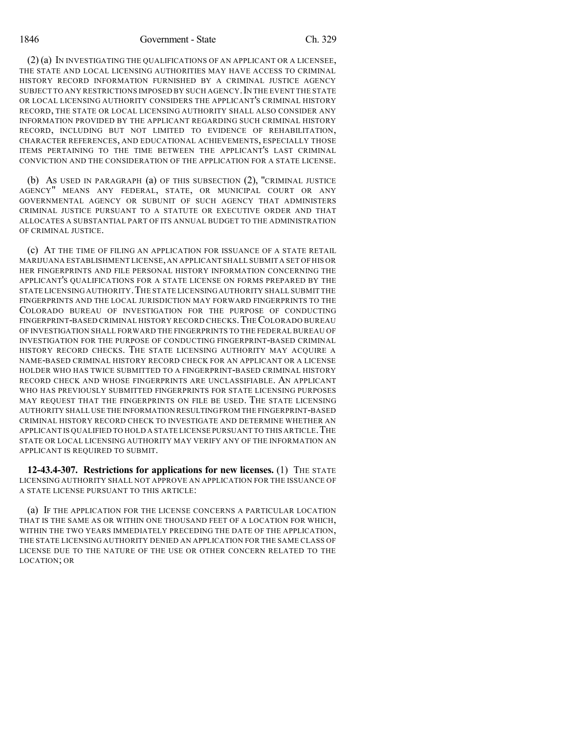1846 Government - State Ch. 329

(2) (a) IN INVESTIGATING THE QUALIFICATIONS OF AN APPLICANT OR A LICENSEE, THE STATE AND LOCAL LICENSING AUTHORITIES MAY HAVE ACCESS TO CRIMINAL HISTORY RECORD INFORMATION FURNISHED BY A CRIMINAL JUSTICE AGENCY SUBJECT TO ANY RESTRICTIONS IMPOSED BY SUCH AGENCY. IN THE EVENT THE STATE OR LOCAL LICENSING AUTHORITY CONSIDERS THE APPLICANT'S CRIMINAL HISTORY RECORD, THE STATE OR LOCAL LICENSING AUTHORITY SHALL ALSO CONSIDER ANY INFORMATION PROVIDED BY THE APPLICANT REGARDING SUCH CRIMINAL HISTORY RECORD, INCLUDING BUT NOT LIMITED TO EVIDENCE OF REHABILITATION, CHARACTER REFERENCES, AND EDUCATIONAL ACHIEVEMENTS, ESPECIALLY THOSE ITEMS PERTAINING TO THE TIME BETWEEN THE APPLICANT'S LAST CRIMINAL CONVICTION AND THE CONSIDERATION OF THE APPLICATION FOR A STATE LICENSE.

(b) AS USED IN PARAGRAPH (a) OF THIS SUBSECTION (2), "CRIMINAL JUSTICE AGENCY" MEANS ANY FEDERAL, STATE, OR MUNICIPAL COURT OR ANY GOVERNMENTAL AGENCY OR SUBUNIT OF SUCH AGENCY THAT ADMINISTERS CRIMINAL JUSTICE PURSUANT TO A STATUTE OR EXECUTIVE ORDER AND THAT ALLOCATES A SUBSTANTIAL PART OF ITS ANNUAL BUDGET TO THE ADMINISTRATION OF CRIMINAL JUSTICE.

(c) AT THE TIME OF FILING AN APPLICATION FOR ISSUANCE OF A STATE RETAIL MARIJUANA ESTABLISHMENT LICENSE, AN APPLICANT SHALL SUBMIT A SET OF HIS OR HER FINGERPRINTS AND FILE PERSONAL HISTORY INFORMATION CONCERNING THE APPLICANT'S QUALIFICATIONS FOR A STATE LICENSE ON FORMS PREPARED BY THE STATE LICENSING AUTHORITY.THE STATE LICENSINGAUTHORITY SHALL SUBMIT THE FINGERPRINTS AND THE LOCAL JURISDICTION MAY FORWARD FINGERPRINTS TO THE COLORADO BUREAU OF INVESTIGATION FOR THE PURPOSE OF CONDUCTING FINGERPRINT-BASED CRIMINAL HISTORY RECORD CHECKS.THECOLORADO BUREAU OF INVESTIGATION SHALL FORWARD THE FINGERPRINTS TO THE FEDERAL BUREAU OF INVESTIGATION FOR THE PURPOSE OF CONDUCTING FINGERPRINT-BASED CRIMINAL HISTORY RECORD CHECKS. THE STATE LICENSING AUTHORITY MAY ACQUIRE A NAME-BASED CRIMINAL HISTORY RECORD CHECK FOR AN APPLICANT OR A LICENSE HOLDER WHO HAS TWICE SUBMITTED TO A FINGERPRINT-BASED CRIMINAL HISTORY RECORD CHECK AND WHOSE FINGERPRINTS ARE UNCLASSIFIABLE. AN APPLICANT WHO HAS PREVIOUSLY SUBMITTED FINGERPRINTS FOR STATE LICENSING PURPOSES MAY REQUEST THAT THE FINGERPRINTS ON FILE BE USED. THE STATE LICENSING AUTHORITY SHALL USE THE INFORMATION RESULTINGFROM THE FINGERPRINT-BASED CRIMINAL HISTORY RECORD CHECK TO INVESTIGATE AND DETERMINE WHETHER AN APPLICANT IS QUALIFIED TO HOLD A STATE LICENSE PURSUANT TO THIS ARTICLE. THE STATE OR LOCAL LICENSING AUTHORITY MAY VERIFY ANY OF THE INFORMATION AN APPLICANT IS REQUIRED TO SUBMIT.

**12-43.4-307. Restrictions for applications for new licenses.** (1) THE STATE LICENSING AUTHORITY SHALL NOT APPROVE AN APPLICATION FOR THE ISSUANCE OF A STATE LICENSE PURSUANT TO THIS ARTICLE:

(a) IF THE APPLICATION FOR THE LICENSE CONCERNS A PARTICULAR LOCATION THAT IS THE SAME AS OR WITHIN ONE THOUSAND FEET OF A LOCATION FOR WHICH, WITHIN THE TWO YEARS IMMEDIATELY PRECEDING THE DATE OF THE APPLICATION, THE STATE LICENSING AUTHORITY DENIED AN APPLICATION FOR THE SAME CLASS OF LICENSE DUE TO THE NATURE OF THE USE OR OTHER CONCERN RELATED TO THE LOCATION; OR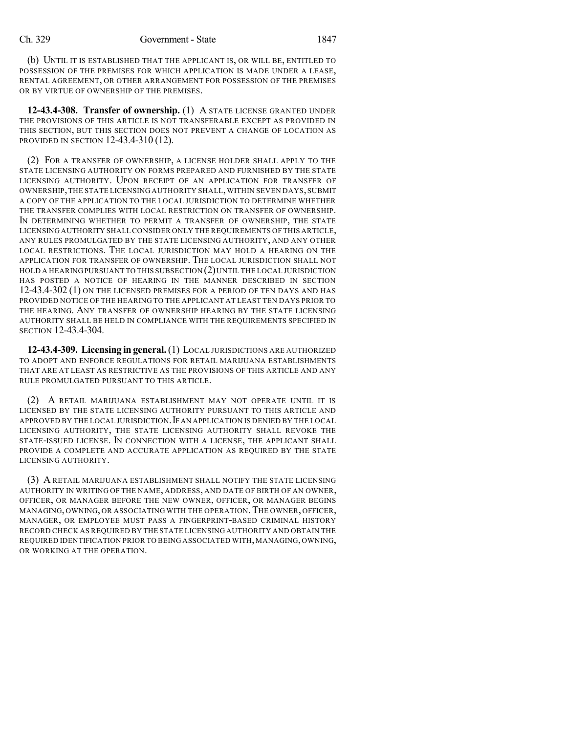(b) UNTIL IT IS ESTABLISHED THAT THE APPLICANT IS, OR WILL BE, ENTITLED TO POSSESSION OF THE PREMISES FOR WHICH APPLICATION IS MADE UNDER A LEASE, RENTAL AGREEMENT, OR OTHER ARRANGEMENT FOR POSSESSION OF THE PREMISES OR BY VIRTUE OF OWNERSHIP OF THE PREMISES.

**12-43.4-308. Transfer of ownership.** (1) A STATE LICENSE GRANTED UNDER THE PROVISIONS OF THIS ARTICLE IS NOT TRANSFERABLE EXCEPT AS PROVIDED IN THIS SECTION, BUT THIS SECTION DOES NOT PREVENT A CHANGE OF LOCATION AS PROVIDED IN SECTION 12-43.4-310 (12).

(2) FOR A TRANSFER OF OWNERSHIP, A LICENSE HOLDER SHALL APPLY TO THE STATE LICENSING AUTHORITY ON FORMS PREPARED AND FURNISHED BY THE STATE LICENSING AUTHORITY. UPON RECEIPT OF AN APPLICATION FOR TRANSFER OF OWNERSHIP,THE STATE LICENSING AUTHORITY SHALL,WITHIN SEVEN DAYS,SUBMIT A COPY OF THE APPLICATION TO THE LOCAL JURISDICTION TO DETERMINE WHETHER THE TRANSFER COMPLIES WITH LOCAL RESTRICTION ON TRANSFER OF OWNERSHIP. IN DETERMINING WHETHER TO PERMIT A TRANSFER OF OWNERSHIP, THE STATE LICENSING AUTHORITY SHALL CONSIDER ONLY THE REQUIREMENTS OF THIS ARTICLE, ANY RULES PROMULGATED BY THE STATE LICENSING AUTHORITY, AND ANY OTHER LOCAL RESTRICTIONS. THE LOCAL JURISDICTION MAY HOLD A HEARING ON THE APPLICATION FOR TRANSFER OF OWNERSHIP. THE LOCAL JURISDICTION SHALL NOT HOLD A HEARINGPURSUANT TO THIS SUBSECTION (2)UNTIL THE LOCAL JURISDICTION HAS POSTED A NOTICE OF HEARING IN THE MANNER DESCRIBED IN SECTION 12-43.4-302 (1) ON THE LICENSED PREMISES FOR A PERIOD OF TEN DAYS AND HAS PROVIDED NOTICE OF THE HEARING TO THE APPLICANT AT LEAST TEN DAYS PRIOR TO THE HEARING. ANY TRANSFER OF OWNERSHIP HEARING BY THE STATE LICENSING AUTHORITY SHALL BE HELD IN COMPLIANCE WITH THE REQUIREMENTS SPECIFIED IN SECTION 12-43.4-304.

**12-43.4-309. Licensing in general.**(1) LOCAL JURISDICTIONS ARE AUTHORIZED TO ADOPT AND ENFORCE REGULATIONS FOR RETAIL MARIJUANA ESTABLISHMENTS THAT ARE AT LEAST AS RESTRICTIVE AS THE PROVISIONS OF THIS ARTICLE AND ANY RULE PROMULGATED PURSUANT TO THIS ARTICLE.

(2) A RETAIL MARIJUANA ESTABLISHMENT MAY NOT OPERATE UNTIL IT IS LICENSED BY THE STATE LICENSING AUTHORITY PURSUANT TO THIS ARTICLE AND APPROVED BY THE LOCAL JURISDICTION.IFAN APPLICATION IS DENIED BY THE LOCAL LICENSING AUTHORITY, THE STATE LICENSING AUTHORITY SHALL REVOKE THE STATE-ISSUED LICENSE. IN CONNECTION WITH A LICENSE, THE APPLICANT SHALL PROVIDE A COMPLETE AND ACCURATE APPLICATION AS REQUIRED BY THE STATE LICENSING AUTHORITY.

(3) A RETAIL MARIJUANA ESTABLISHMENT SHALL NOTIFY THE STATE LICENSING AUTHORITY IN WRITING OF THE NAME, ADDRESS, AND DATE OF BIRTH OF AN OWNER, OFFICER, OR MANAGER BEFORE THE NEW OWNER, OFFICER, OR MANAGER BEGINS MANAGING, OWNING, OR ASSOCIATING WITH THE OPERATION. THE OWNER, OFFICER, MANAGER, OR EMPLOYEE MUST PASS A FINGERPRINT-BASED CRIMINAL HISTORY RECORD CHECK AS REQUIRED BY THE STATE LICENSING AUTHORITY AND OBTAIN THE REQUIRED IDENTIFICATION PRIOR TO BEING ASSOCIATED WITH, MANAGING, OWNING, OR WORKING AT THE OPERATION.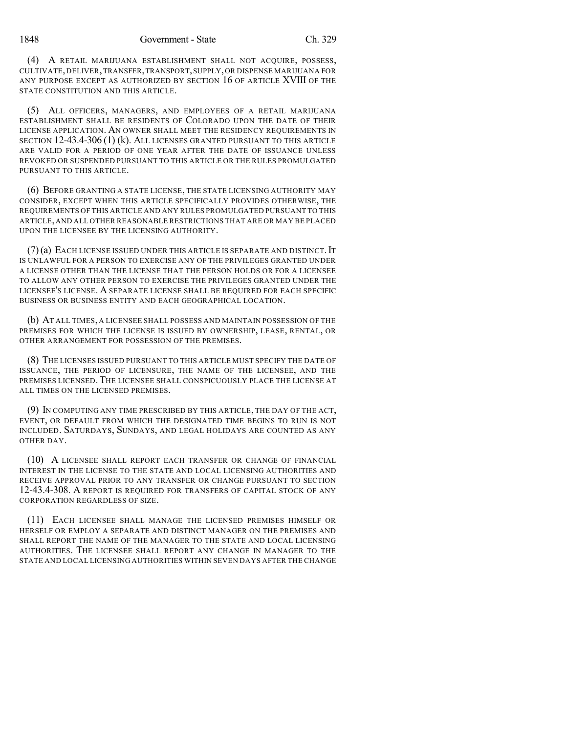(4) A RETAIL MARIJUANA ESTABLISHMENT SHALL NOT ACQUIRE, POSSESS, CULTIVATE,DELIVER,TRANSFER,TRANSPORT,SUPPLY,OR DISPENSE MARIJUANA FOR ANY PURPOSE EXCEPT AS AUTHORIZED BY SECTION 16 OF ARTICLE XVIII OF THE STATE CONSTITUTION AND THIS ARTICLE.

(5) ALL OFFICERS, MANAGERS, AND EMPLOYEES OF A RETAIL MARIJUANA ESTABLISHMENT SHALL BE RESIDENTS OF COLORADO UPON THE DATE OF THEIR LICENSE APPLICATION. AN OWNER SHALL MEET THE RESIDENCY REQUIREMENTS IN SECTION 12-43.4-306 (1) (k). ALL LICENSES GRANTED PURSUANT TO THIS ARTICLE ARE VALID FOR A PERIOD OF ONE YEAR AFTER THE DATE OF ISSUANCE UNLESS REVOKED OR SUSPENDED PURSUANT TO THIS ARTICLE OR THE RULES PROMULGATED PURSUANT TO THIS ARTICLE.

(6) BEFORE GRANTING A STATE LICENSE, THE STATE LICENSING AUTHORITY MAY CONSIDER, EXCEPT WHEN THIS ARTICLE SPECIFICALLY PROVIDES OTHERWISE, THE REQUIREMENTS OF THIS ARTICLE AND ANY RULES PROMULGATED PURSUANT TO THIS ARTICLE,AND ALL OTHER REASONABLE RESTRICTIONS THAT ARE OR MAY BE PLACED UPON THE LICENSEE BY THE LICENSING AUTHORITY.

(7)(a) EACH LICENSE ISSUED UNDER THIS ARTICLE IS SEPARATE AND DISTINCT.IT IS UNLAWFUL FOR A PERSON TO EXERCISE ANY OF THE PRIVILEGES GRANTED UNDER A LICENSE OTHER THAN THE LICENSE THAT THE PERSON HOLDS OR FOR A LICENSEE TO ALLOW ANY OTHER PERSON TO EXERCISE THE PRIVILEGES GRANTED UNDER THE LICENSEE'S LICENSE. A SEPARATE LICENSE SHALL BE REQUIRED FOR EACH SPECIFIC BUSINESS OR BUSINESS ENTITY AND EACH GEOGRAPHICAL LOCATION.

(b) AT ALL TIMES, A LICENSEE SHALL POSSESS AND MAINTAIN POSSESSION OF THE PREMISES FOR WHICH THE LICENSE IS ISSUED BY OWNERSHIP, LEASE, RENTAL, OR OTHER ARRANGEMENT FOR POSSESSION OF THE PREMISES.

(8) THE LICENSES ISSUED PURSUANT TO THIS ARTICLE MUST SPECIFY THE DATE OF ISSUANCE, THE PERIOD OF LICENSURE, THE NAME OF THE LICENSEE, AND THE PREMISES LICENSED. THE LICENSEE SHALL CONSPICUOUSLY PLACE THE LICENSE AT ALL TIMES ON THE LICENSED PREMISES.

(9) IN COMPUTING ANY TIME PRESCRIBED BY THIS ARTICLE, THE DAY OF THE ACT, EVENT, OR DEFAULT FROM WHICH THE DESIGNATED TIME BEGINS TO RUN IS NOT INCLUDED. SATURDAYS, SUNDAYS, AND LEGAL HOLIDAYS ARE COUNTED AS ANY OTHER DAY.

(10) A LICENSEE SHALL REPORT EACH TRANSFER OR CHANGE OF FINANCIAL INTEREST IN THE LICENSE TO THE STATE AND LOCAL LICENSING AUTHORITIES AND RECEIVE APPROVAL PRIOR TO ANY TRANSFER OR CHANGE PURSUANT TO SECTION 12-43.4-308. A REPORT IS REQUIRED FOR TRANSFERS OF CAPITAL STOCK OF ANY CORPORATION REGARDLESS OF SIZE.

(11) EACH LICENSEE SHALL MANAGE THE LICENSED PREMISES HIMSELF OR HERSELF OR EMPLOY A SEPARATE AND DISTINCT MANAGER ON THE PREMISES AND SHALL REPORT THE NAME OF THE MANAGER TO THE STATE AND LOCAL LICENSING AUTHORITIES. THE LICENSEE SHALL REPORT ANY CHANGE IN MANAGER TO THE STATE AND LOCAL LICENSING AUTHORITIES WITHIN SEVEN DAYS AFTER THE CHANGE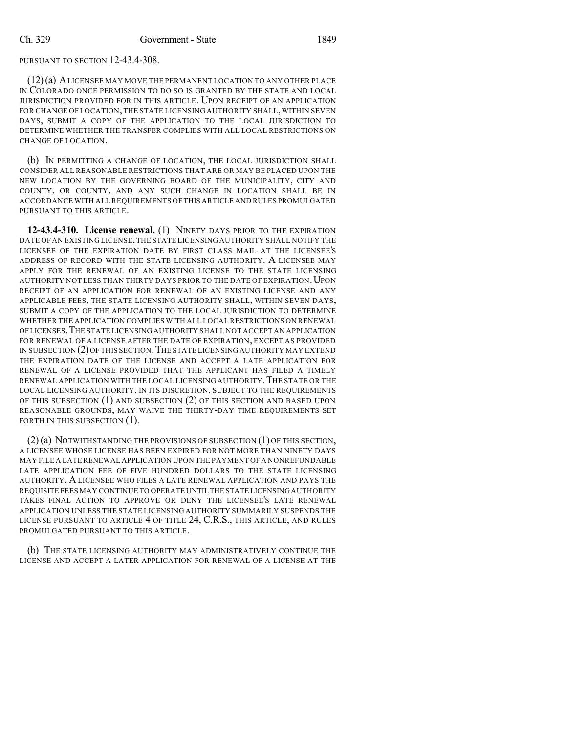PURSUANT TO SECTION 12-43.4-308.

(12)(a) ALICENSEE MAY MOVE THE PERMANENT LOCATION TO ANY OTHER PLACE IN COLORADO ONCE PERMISSION TO DO SO IS GRANTED BY THE STATE AND LOCAL JURISDICTION PROVIDED FOR IN THIS ARTICLE. UPON RECEIPT OF AN APPLICATION FOR CHANGE OF LOCATION, THE STATE LICENSING AUTHORITY SHALL, WITHIN SEVEN DAYS, SUBMIT A COPY OF THE APPLICATION TO THE LOCAL JURISDICTION TO DETERMINE WHETHER THE TRANSFER COMPLIES WITH ALL LOCAL RESTRICTIONS ON CHANGE OF LOCATION.

(b) IN PERMITTING A CHANGE OF LOCATION, THE LOCAL JURISDICTION SHALL CONSIDER ALL REASONABLE RESTRICTIONS THAT ARE OR MAY BE PLACED UPON THE NEW LOCATION BY THE GOVERNING BOARD OF THE MUNICIPALITY, CITY AND COUNTY, OR COUNTY, AND ANY SUCH CHANGE IN LOCATION SHALL BE IN ACCORDANCE WITH ALLREQUIREMENTS OF THIS ARTICLE AND RULES PROMULGATED PURSUANT TO THIS ARTICLE.

**12-43.4-310. License renewal.** (1) NINETY DAYS PRIOR TO THE EXPIRATION DATE OF AN EXISTING LICENSE,THE STATE LICENSING AUTHORITY SHALL NOTIFY THE LICENSEE OF THE EXPIRATION DATE BY FIRST CLASS MAIL AT THE LICENSEE'S ADDRESS OF RECORD WITH THE STATE LICENSING AUTHORITY. A LICENSEE MAY APPLY FOR THE RENEWAL OF AN EXISTING LICENSE TO THE STATE LICENSING AUTHORITY NOT LESS THAN THIRTY DAYS PRIOR TO THE DATE OF EXPIRATION. UPON RECEIPT OF AN APPLICATION FOR RENEWAL OF AN EXISTING LICENSE AND ANY APPLICABLE FEES, THE STATE LICENSING AUTHORITY SHALL, WITHIN SEVEN DAYS, SUBMIT A COPY OF THE APPLICATION TO THE LOCAL JURISDICTION TO DETERMINE WHETHER THE APPLICATION COMPLIES WITH ALL LOCAL RESTRICTIONS ON RENEWAL OFLICENSES.THE STATE LICENSING AUTHORITY SHALL NOT ACCEPT AN APPLICATION FOR RENEWAL OF A LICENSE AFTER THE DATE OF EXPIRATION, EXCEPT AS PROVIDED IN SUBSECTION (2)OF THIS SECTION.THE STATE LICENSING AUTHORITY MAY EXTEND THE EXPIRATION DATE OF THE LICENSE AND ACCEPT A LATE APPLICATION FOR RENEWAL OF A LICENSE PROVIDED THAT THE APPLICANT HAS FILED A TIMELY RENEWAL APPLICATION WITH THE LOCAL LICENSING AUTHORITY. THE STATE OR THE LOCAL LICENSING AUTHORITY, IN ITS DISCRETION, SUBJECT TO THE REQUIREMENTS OF THIS SUBSECTION (1) AND SUBSECTION (2) OF THIS SECTION AND BASED UPON REASONABLE GROUNDS, MAY WAIVE THE THIRTY-DAY TIME REQUIREMENTS SET FORTH IN THIS SUBSECTION  $(1)$ .

 $(2)$  (a) NOTWITHSTANDING THE PROVISIONS OF SUBSECTION  $(1)$  OF THIS SECTION, A LICENSEE WHOSE LICENSE HAS BEEN EXPIRED FOR NOT MORE THAN NINETY DAYS MAY FILE A LATE RENEWAL APPLICATION UPON THE PAYMENT OF A NONREFUNDABLE LATE APPLICATION FEE OF FIVE HUNDRED DOLLARS TO THE STATE LICENSING AUTHORITY. A LICENSEE WHO FILES A LATE RENEWAL APPLICATION AND PAYS THE REQUISITE FEES MAY CONTINUE TO OPERATE UNTIL THE STATE LICENSINGAUTHORITY TAKES FINAL ACTION TO APPROVE OR DENY THE LICENSEE'S LATE RENEWAL APPLICATION UNLESS THE STATE LICENSING AUTHORITY SUMMARILY SUSPENDS THE LICENSE PURSUANT TO ARTICLE 4 OF TITLE 24, C.R.S., THIS ARTICLE, AND RULES PROMULGATED PURSUANT TO THIS ARTICLE.

(b) THE STATE LICENSING AUTHORITY MAY ADMINISTRATIVELY CONTINUE THE LICENSE AND ACCEPT A LATER APPLICATION FOR RENEWAL OF A LICENSE AT THE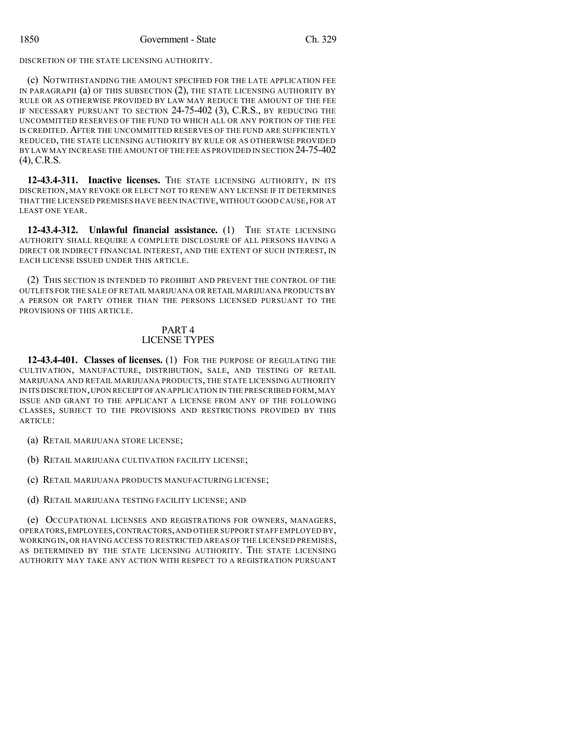DISCRETION OF THE STATE LICENSING AUTHORITY.

(c) NOTWITHSTANDING THE AMOUNT SPECIFIED FOR THE LATE APPLICATION FEE IN PARAGRAPH (a) OF THIS SUBSECTION (2), THE STATE LICENSING AUTHORITY BY RULE OR AS OTHERWISE PROVIDED BY LAW MAY REDUCE THE AMOUNT OF THE FEE IF NECESSARY PURSUANT TO SECTION 24-75-402 (3), C.R.S., BY REDUCING THE UNCOMMITTED RESERVES OF THE FUND TO WHICH ALL OR ANY PORTION OF THE FEE IS CREDITED. AFTER THE UNCOMMITTED RESERVES OF THE FUND ARE SUFFICIENTLY REDUCED, THE STATE LICENSING AUTHORITY BY RULE OR AS OTHERWISE PROVIDED BY LAWMAY INCREASE THE AMOUNT OF THE FEE AS PROVIDED IN SECTION 24-75-402 (4), C.R.S.

**12-43.4-311. Inactive licenses.** THE STATE LICENSING AUTHORITY, IN ITS DISCRETION, MAY REVOKE OR ELECT NOT TO RENEW ANY LICENSE IF IT DETERMINES THAT THE LICENSED PREMISES HAVE BEEN INACTIVE,WITHOUT GOOD CAUSE, FOR AT LEAST ONE YEAR.

**12-43.4-312. Unlawful financial assistance.** (1) THE STATE LICENSING AUTHORITY SHALL REQUIRE A COMPLETE DISCLOSURE OF ALL PERSONS HAVING A DIRECT OR INDIRECT FINANCIAL INTEREST, AND THE EXTENT OF SUCH INTEREST, IN EACH LICENSE ISSUED UNDER THIS ARTICLE.

(2) THIS SECTION IS INTENDED TO PROHIBIT AND PREVENT THE CONTROL OF THE OUTLETS FOR THE SALE OF RETAIL MARIJUANA OR RETAIL MARIJUANA PRODUCTS BY A PERSON OR PARTY OTHER THAN THE PERSONS LICENSED PURSUANT TO THE PROVISIONS OF THIS ARTICLE.

## PART 4 LICENSE TYPES

**12-43.4-401. Classes of licenses.** (1) FOR THE PURPOSE OF REGULATING THE CULTIVATION, MANUFACTURE, DISTRIBUTION, SALE, AND TESTING OF RETAIL MARIJUANA AND RETAIL MARIJUANA PRODUCTS, THE STATE LICENSING AUTHORITY IN ITS DISCRETION,UPON RECEIPT OFAN APPLICATION IN THE PRESCRIBED FORM,MAY ISSUE AND GRANT TO THE APPLICANT A LICENSE FROM ANY OF THE FOLLOWING CLASSES, SUBJECT TO THE PROVISIONS AND RESTRICTIONS PROVIDED BY THIS ARTICLE:

(a) RETAIL MARIJUANA STORE LICENSE;

(b) RETAIL MARIJUANA CULTIVATION FACILITY LICENSE;

(c) RETAIL MARIJUANA PRODUCTS MANUFACTURING LICENSE;

(d) RETAIL MARIJUANA TESTING FACILITY LICENSE; AND

(e) OCCUPATIONAL LICENSES AND REGISTRATIONS FOR OWNERS, MANAGERS, OPERATORS,EMPLOYEES,CONTRACTORS,AND OTHER SUPPORT STAFF EMPLOYED BY, WORKING IN, OR HAVING ACCESS TO RESTRICTED AREAS OF THE LICENSED PREMISES, AS DETERMINED BY THE STATE LICENSING AUTHORITY. THE STATE LICENSING AUTHORITY MAY TAKE ANY ACTION WITH RESPECT TO A REGISTRATION PURSUANT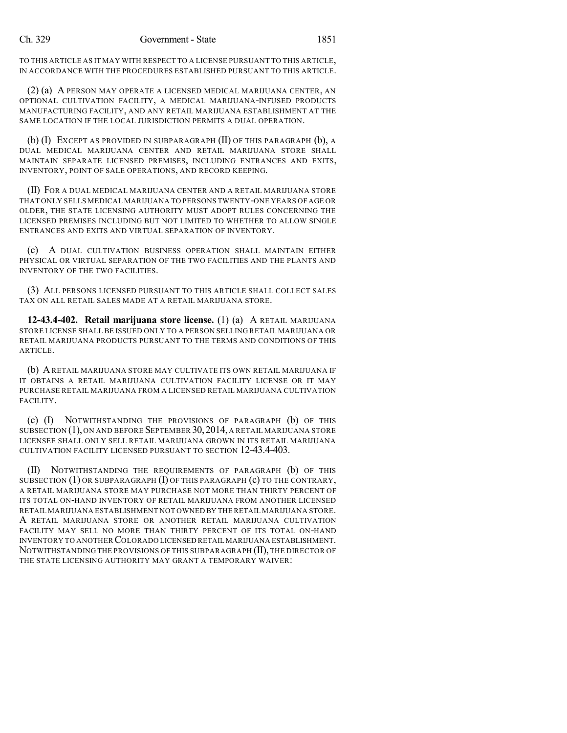TO THIS ARTICLE AS IT MAY WITH RESPECT TO A LICENSE PURSUANT TO THIS ARTICLE, IN ACCORDANCE WITH THE PROCEDURES ESTABLISHED PURSUANT TO THIS ARTICLE.

(2) (a) A PERSON MAY OPERATE A LICENSED MEDICAL MARIJUANA CENTER, AN OPTIONAL CULTIVATION FACILITY, A MEDICAL MARIJUANA-INFUSED PRODUCTS MANUFACTURING FACILITY, AND ANY RETAIL MARIJUANA ESTABLISHMENT AT THE SAME LOCATION IF THE LOCAL JURISDICTION PERMITS A DUAL OPERATION.

(b) (I) EXCEPT AS PROVIDED IN SUBPARAGRAPH (II) OF THIS PARAGRAPH (b), A DUAL MEDICAL MARIJUANA CENTER AND RETAIL MARIJUANA STORE SHALL MAINTAIN SEPARATE LICENSED PREMISES, INCLUDING ENTRANCES AND EXITS, INVENTORY, POINT OF SALE OPERATIONS, AND RECORD KEEPING.

(II) FOR A DUAL MEDICAL MARIJUANA CENTER AND A RETAIL MARIJUANA STORE THAT ONLY SELLS MEDICAL MARIJUANA TO PERSONS TWENTY-ONE YEARS OF AGE OR OLDER, THE STATE LICENSING AUTHORITY MUST ADOPT RULES CONCERNING THE LICENSED PREMISES INCLUDING BUT NOT LIMITED TO WHETHER TO ALLOW SINGLE ENTRANCES AND EXITS AND VIRTUAL SEPARATION OF INVENTORY.

(c) A DUAL CULTIVATION BUSINESS OPERATION SHALL MAINTAIN EITHER PHYSICAL OR VIRTUAL SEPARATION OF THE TWO FACILITIES AND THE PLANTS AND INVENTORY OF THE TWO FACILITIES.

(3) ALL PERSONS LICENSED PURSUANT TO THIS ARTICLE SHALL COLLECT SALES TAX ON ALL RETAIL SALES MADE AT A RETAIL MARIJUANA STORE.

**12-43.4-402. Retail marijuana store license.** (1) (a) A RETAIL MARIJUANA STORE LICENSE SHALL BE ISSUED ONLY TO A PERSON SELLING RETAIL MARIJUANA OR RETAIL MARIJUANA PRODUCTS PURSUANT TO THE TERMS AND CONDITIONS OF THIS ARTICLE.

(b) ARETAIL MARIJUANA STORE MAY CULTIVATE ITS OWN RETAIL MARIJUANA IF IT OBTAINS A RETAIL MARIJUANA CULTIVATION FACILITY LICENSE OR IT MAY PURCHASE RETAIL MARIJUANA FROM A LICENSED RETAIL MARIJUANA CULTIVATION FACILITY.

(c) (I) NOTWITHSTANDING THE PROVISIONS OF PARAGRAPH (b) OF THIS SUBSECTION (1), ON AND BEFORE SEPTEMBER 30,2014, A RETAIL MARIJUANA STORE LICENSEE SHALL ONLY SELL RETAIL MARIJUANA GROWN IN ITS RETAIL MARIJUANA CULTIVATION FACILITY LICENSED PURSUANT TO SECTION 12-43.4-403.

(II) NOTWITHSTANDING THE REQUIREMENTS OF PARAGRAPH (b) OF THIS SUBSECTION  $(1)$  OR SUBPARAGRAPH  $(I)$  OF THIS PARAGRAPH  $(c)$  TO THE CONTRARY, A RETAIL MARIJUANA STORE MAY PURCHASE NOT MORE THAN THIRTY PERCENT OF ITS TOTAL ON-HAND INVENTORY OF RETAIL MARIJUANA FROM ANOTHER LICENSED RETAIL MARIJUANA ESTABLISHMENT NOT OWNED BY THE RETAIL MARIJUANA STORE. A RETAIL MARIJUANA STORE OR ANOTHER RETAIL MARIJUANA CULTIVATION FACILITY MAY SELL NO MORE THAN THIRTY PERCENT OF ITS TOTAL ON-HAND INVENTORY TO ANOTHER COLORADO LICENSED RETAIL MARIJUANA ESTABLISHMENT. NOTWITHSTANDING THE PROVISIONS OF THIS SUBPARAGRAPH (II), THE DIRECTOR OF THE STATE LICENSING AUTHORITY MAY GRANT A TEMPORARY WAIVER: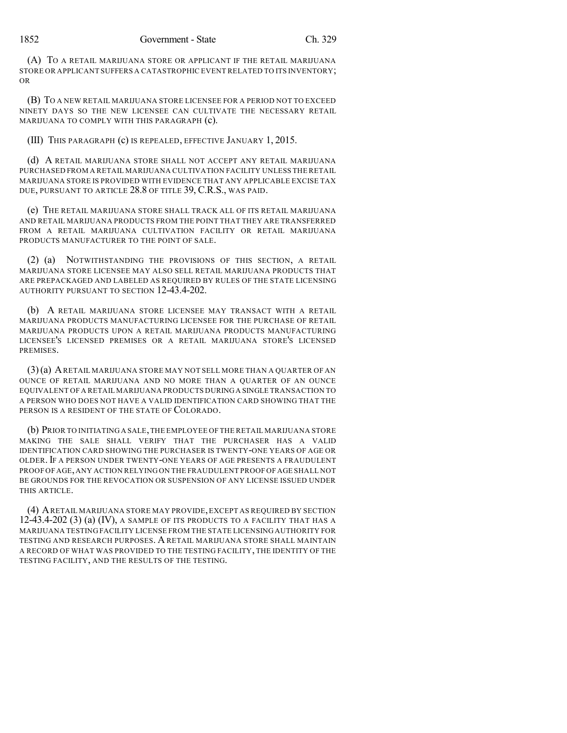(A) TO A RETAIL MARIJUANA STORE OR APPLICANT IF THE RETAIL MARIJUANA STORE OR APPLICANT SUFFERS A CATASTROPHIC EVENT RELATED TO ITS INVENTORY; OR

(B) TO A NEW RETAIL MARIJUANA STORE LICENSEE FOR A PERIOD NOT TO EXCEED NINETY DAYS SO THE NEW LICENSEE CAN CULTIVATE THE NECESSARY RETAIL MARIJUANA TO COMPLY WITH THIS PARAGRAPH (c).

(III) THIS PARAGRAPH (c) IS REPEALED, EFFECTIVE JANUARY 1, 2015.

(d) A RETAIL MARIJUANA STORE SHALL NOT ACCEPT ANY RETAIL MARIJUANA PURCHASED FROM A RETAIL MARIJUANA CULTIVATION FACILITY UNLESS THE RETAIL MARIJUANA STORE IS PROVIDED WITH EVIDENCE THAT ANY APPLICABLE EXCISE TAX DUE, PURSUANT TO ARTICLE 28.8 OF TITLE 39, C.R.S., WAS PAID.

(e) THE RETAIL MARIJUANA STORE SHALL TRACK ALL OF ITS RETAIL MARIJUANA AND RETAIL MARIJUANA PRODUCTS FROM THE POINT THAT THEY ARE TRANSFERRED FROM A RETAIL MARIJUANA CULTIVATION FACILITY OR RETAIL MARIJUANA PRODUCTS MANUFACTURER TO THE POINT OF SALE.

(2) (a) NOTWITHSTANDING THE PROVISIONS OF THIS SECTION, A RETAIL MARIJUANA STORE LICENSEE MAY ALSO SELL RETAIL MARIJUANA PRODUCTS THAT ARE PREPACKAGED AND LABELED AS REQUIRED BY RULES OF THE STATE LICENSING AUTHORITY PURSUANT TO SECTION 12-43.4-202.

(b) A RETAIL MARIJUANA STORE LICENSEE MAY TRANSACT WITH A RETAIL MARIJUANA PRODUCTS MANUFACTURING LICENSEE FOR THE PURCHASE OF RETAIL MARIJUANA PRODUCTS UPON A RETAIL MARIJUANA PRODUCTS MANUFACTURING LICENSEE'S LICENSED PREMISES OR A RETAIL MARIJUANA STORE'S LICENSED PREMISES.

(3)(a) ARETAIL MARIJUANA STORE MAY NOT SELL MORE THAN A QUARTER OF AN OUNCE OF RETAIL MARIJUANA AND NO MORE THAN A QUARTER OF AN OUNCE EQUIVALENT OF A RETAIL MARIJUANA PRODUCTS DURINGA SINGLE TRANSACTION TO A PERSON WHO DOES NOT HAVE A VALID IDENTIFICATION CARD SHOWING THAT THE PERSON IS A RESIDENT OF THE STATE OF COLORADO.

(b) PRIOR TO INITIATING A SALE,THE EMPLOYEE OF THE RETAIL MARIJUANA STORE MAKING THE SALE SHALL VERIFY THAT THE PURCHASER HAS A VALID IDENTIFICATION CARD SHOWING THE PURCHASER IS TWENTY-ONE YEARS OF AGE OR OLDER.IF A PERSON UNDER TWENTY-ONE YEARS OF AGE PRESENTS A FRAUDULENT PROOF OF AGE,ANY ACTION RELYING ON THE FRAUDULENT PROOF OF AGE SHALL NOT BE GROUNDS FOR THE REVOCATION OR SUSPENSION OF ANY LICENSE ISSUED UNDER THIS ARTICLE.

(4) ARETAIL MARIJUANA STORE MAY PROVIDE,EXCEPT AS REQUIRED BY SECTION 12-43.4-202 (3) (a) (IV), A SAMPLE OF ITS PRODUCTS TO A FACILITY THAT HAS A MARIJUANA TESTING FACILITY LICENSE FROM THE STATE LICENSING AUTHORITY FOR TESTING AND RESEARCH PURPOSES. A RETAIL MARIJUANA STORE SHALL MAINTAIN A RECORD OF WHAT WAS PROVIDED TO THE TESTING FACILITY, THE IDENTITY OF THE TESTING FACILITY, AND THE RESULTS OF THE TESTING.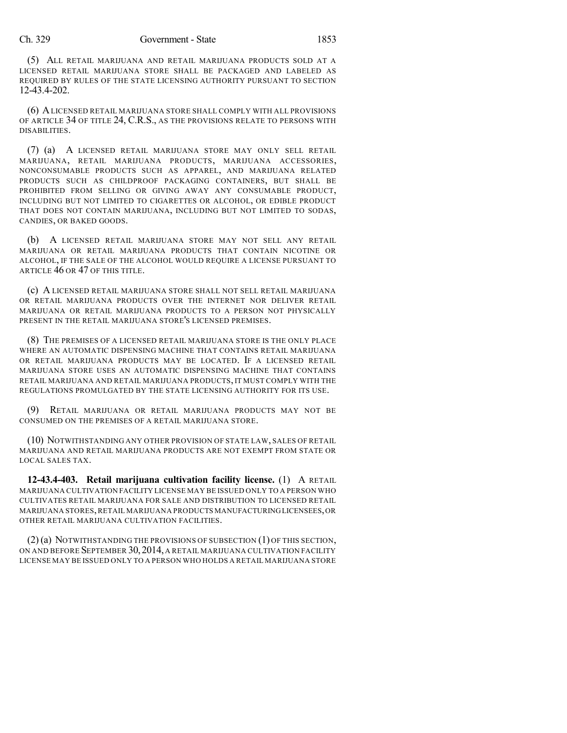#### Ch. 329 Government - State 1853

(5) ALL RETAIL MARIJUANA AND RETAIL MARIJUANA PRODUCTS SOLD AT A LICENSED RETAIL MARIJUANA STORE SHALL BE PACKAGED AND LABELED AS REQUIRED BY RULES OF THE STATE LICENSING AUTHORITY PURSUANT TO SECTION 12-43.4-202.

(6) ALICENSED RETAIL MARIJUANA STORE SHALL COMPLY WITH ALL PROVISIONS OF ARTICLE 34 OF TITLE 24, C.R.S., AS THE PROVISIONS RELATE TO PERSONS WITH DISABILITIES.

(7) (a) A LICENSED RETAIL MARIJUANA STORE MAY ONLY SELL RETAIL MARIJUANA, RETAIL MARIJUANA PRODUCTS, MARIJUANA ACCESSORIES, NONCONSUMABLE PRODUCTS SUCH AS APPAREL, AND MARIJUANA RELATED PRODUCTS SUCH AS CHILDPROOF PACKAGING CONTAINERS, BUT SHALL BE PROHIBITED FROM SELLING OR GIVING AWAY ANY CONSUMABLE PRODUCT, INCLUDING BUT NOT LIMITED TO CIGARETTES OR ALCOHOL, OR EDIBLE PRODUCT THAT DOES NOT CONTAIN MARIJUANA, INCLUDING BUT NOT LIMITED TO SODAS, CANDIES, OR BAKED GOODS.

(b) A LICENSED RETAIL MARIJUANA STORE MAY NOT SELL ANY RETAIL MARIJUANA OR RETAIL MARIJUANA PRODUCTS THAT CONTAIN NICOTINE OR ALCOHOL, IF THE SALE OF THE ALCOHOL WOULD REQUIRE A LICENSE PURSUANT TO ARTICLE 46 OR 47 OF THIS TITLE.

(c) A LICENSED RETAIL MARIJUANA STORE SHALL NOT SELL RETAIL MARIJUANA OR RETAIL MARIJUANA PRODUCTS OVER THE INTERNET NOR DELIVER RETAIL MARIJUANA OR RETAIL MARIJUANA PRODUCTS TO A PERSON NOT PHYSICALLY PRESENT IN THE RETAIL MARIJUANA STORE'S LICENSED PREMISES.

(8) THE PREMISES OF A LICENSED RETAIL MARIJUANA STORE IS THE ONLY PLACE WHERE AN AUTOMATIC DISPENSING MACHINE THAT CONTAINS RETAIL MARIJUANA OR RETAIL MARIJUANA PRODUCTS MAY BE LOCATED. IF A LICENSED RETAIL MARIJUANA STORE USES AN AUTOMATIC DISPENSING MACHINE THAT CONTAINS RETAIL MARIJUANA AND RETAIL MARIJUANA PRODUCTS, IT MUST COMPLY WITH THE REGULATIONS PROMULGATED BY THE STATE LICENSING AUTHORITY FOR ITS USE.

(9) RETAIL MARIJUANA OR RETAIL MARIJUANA PRODUCTS MAY NOT BE CONSUMED ON THE PREMISES OF A RETAIL MARIJUANA STORE.

(10) NOTWITHSTANDING ANY OTHER PROVISION OF STATE LAW, SALES OF RETAIL MARIJUANA AND RETAIL MARIJUANA PRODUCTS ARE NOT EXEMPT FROM STATE OR LOCAL SALES TAX.

**12-43.4-403. Retail marijuana cultivation facility license.** (1) A RETAIL MARIJUANA CULTIVATION FACILITY LICENSE MAY BE ISSUED ONLY TO A PERSON WHO CULTIVATES RETAIL MARIJUANA FOR SALE AND DISTRIBUTION TO LICENSED RETAIL MARIJUANA STORES,RETAIL MARIJUANA PRODUCTS MANUFACTURINGLICENSEES,OR OTHER RETAIL MARIJUANA CULTIVATION FACILITIES.

 $(2)$  (a) NOTWITHSTANDING THE PROVISIONS OF SUBSECTION  $(1)$  OF THIS SECTION, ON AND BEFORE SEPTEMBER 30,2014, A RETAIL MARIJUANA CULTIVATION FACILITY LICENSE MAY BE ISSUED ONLY TO A PERSON WHO HOLDS A RETAIL MARIJUANA STORE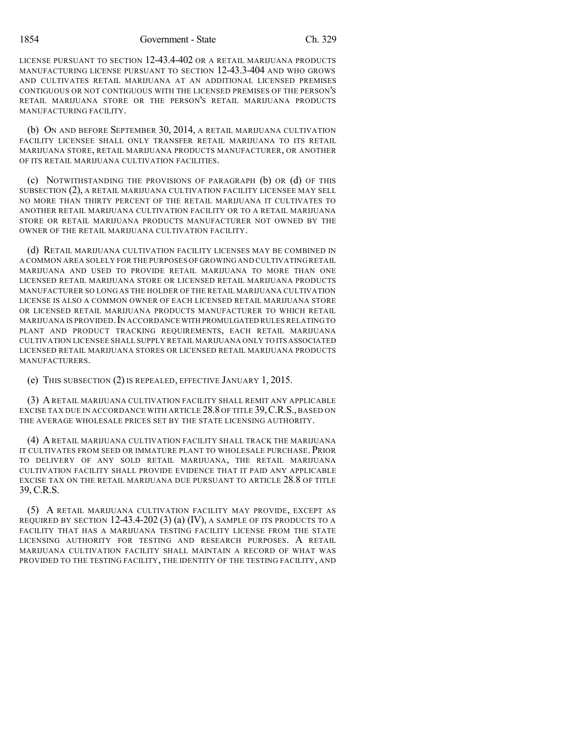1854 Government - State Ch. 329

LICENSE PURSUANT TO SECTION 12-43.4-402 OR A RETAIL MARIJUANA PRODUCTS MANUFACTURING LICENSE PURSUANT TO SECTION 12-43.3-404 AND WHO GROWS AND CULTIVATES RETAIL MARIJUANA AT AN ADDITIONAL LICENSED PREMISES CONTIGUOUS OR NOT CONTIGUOUS WITH THE LICENSED PREMISES OF THE PERSON'S RETAIL MARIJUANA STORE OR THE PERSON'S RETAIL MARIJUANA PRODUCTS MANUFACTURING FACILITY.

(b) ON AND BEFORE SEPTEMBER 30, 2014, A RETAIL MARIJUANA CULTIVATION FACILITY LICENSEE SHALL ONLY TRANSFER RETAIL MARIJUANA TO ITS RETAIL MARIJUANA STORE, RETAIL MARIJUANA PRODUCTS MANUFACTURER, OR ANOTHER OF ITS RETAIL MARIJUANA CULTIVATION FACILITIES.

(c) NOTWITHSTANDING THE PROVISIONS OF PARAGRAPH (b) OR (d) OF THIS SUBSECTION (2), A RETAIL MARIJUANA CULTIVATION FACILITY LICENSEE MAY SELL NO MORE THAN THIRTY PERCENT OF THE RETAIL MARIJUANA IT CULTIVATES TO ANOTHER RETAIL MARIJUANA CULTIVATION FACILITY OR TO A RETAIL MARIJUANA STORE OR RETAIL MARIJUANA PRODUCTS MANUFACTURER NOT OWNED BY THE OWNER OF THE RETAIL MARIJUANA CULTIVATION FACILITY.

(d) RETAIL MARIJUANA CULTIVATION FACILITY LICENSES MAY BE COMBINED IN A COMMON AREA SOLELY FOR THE PURPOSES OF GROWING AND CULTIVATING RETAIL MARIJUANA AND USED TO PROVIDE RETAIL MARIJUANA TO MORE THAN ONE LICENSED RETAIL MARIJUANA STORE OR LICENSED RETAIL MARIJUANA PRODUCTS MANUFACTURER SO LONG AS THE HOLDER OF THE RETAIL MARIJUANA CULTIVATION LICENSE IS ALSO A COMMON OWNER OF EACH LICENSED RETAIL MARIJUANA STORE OR LICENSED RETAIL MARIJUANA PRODUCTS MANUFACTURER TO WHICH RETAIL MARIJUANA IS PROVIDED.IN ACCORDANCE WITH PROMULGATED RULES RELATING TO PLANT AND PRODUCT TRACKING REQUIREMENTS, EACH RETAIL MARIJUANA CULTIVATION LICENSEE SHALL SUPPLY RETAIL MARIJUANA ONLY TO ITS ASSOCIATED LICENSED RETAIL MARIJUANA STORES OR LICENSED RETAIL MARIJUANA PRODUCTS MANUFACTURERS.

(e) THIS SUBSECTION (2) IS REPEALED, EFFECTIVE JANUARY 1, 2015.

(3) ARETAIL MARIJUANA CULTIVATION FACILITY SHALL REMIT ANY APPLICABLE EXCISE TAX DUE IN ACCORDANCE WITH ARTICLE 28.8 OF TITLE 39,C.R.S., BASED ON THE AVERAGE WHOLESALE PRICES SET BY THE STATE LICENSING AUTHORITY.

(4) ARETAIL MARIJUANA CULTIVATION FACILITY SHALL TRACK THE MARIJUANA IT CULTIVATES FROM SEED OR IMMATURE PLANT TO WHOLESALE PURCHASE. PRIOR TO DELIVERY OF ANY SOLD RETAIL MARIJUANA, THE RETAIL MARIJUANA CULTIVATION FACILITY SHALL PROVIDE EVIDENCE THAT IT PAID ANY APPLICABLE EXCISE TAX ON THE RETAIL MARIJUANA DUE PURSUANT TO ARTICLE 28.8 OF TITLE 39, C.R.S.

(5) A RETAIL MARIJUANA CULTIVATION FACILITY MAY PROVIDE, EXCEPT AS REQUIRED BY SECTION  $12-43.4-202(3)$  (a) (IV), A SAMPLE OF ITS PRODUCTS TO A FACILITY THAT HAS A MARIJUANA TESTING FACILITY LICENSE FROM THE STATE LICENSING AUTHORITY FOR TESTING AND RESEARCH PURPOSES. A RETAIL MARIJUANA CULTIVATION FACILITY SHALL MAINTAIN A RECORD OF WHAT WAS PROVIDED TO THE TESTING FACILITY, THE IDENTITY OF THE TESTING FACILITY, AND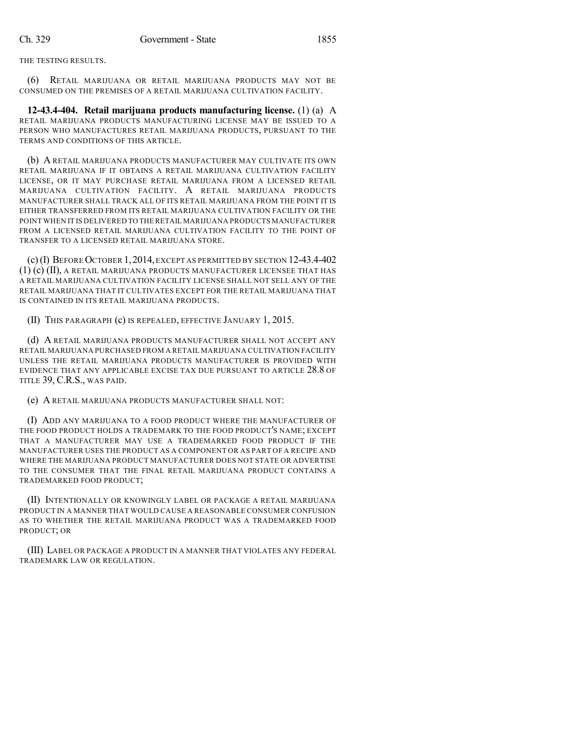THE TESTING RESULTS.

(6) RETAIL MARIJUANA OR RETAIL MARIJUANA PRODUCTS MAY NOT BE CONSUMED ON THE PREMISES OF A RETAIL MARIJUANA CULTIVATION FACILITY.

**12-43.4-404. Retail marijuana products manufacturing license.** (1) (a) A RETAIL MARIJUANA PRODUCTS MANUFACTURING LICENSE MAY BE ISSUED TO A PERSON WHO MANUFACTURES RETAIL MARIJUANA PRODUCTS, PURSUANT TO THE TERMS AND CONDITIONS OF THIS ARTICLE.

(b) A RETAIL MARIJUANA PRODUCTS MANUFACTURER MAY CULTIVATE ITS OWN RETAIL MARIJUANA IF IT OBTAINS A RETAIL MARIJUANA CULTIVATION FACILITY LICENSE, OR IT MAY PURCHASE RETAIL MARIJUANA FROM A LICENSED RETAIL MARIJUANA CULTIVATION FACILITY. A RETAIL MARIJUANA PRODUCTS MANUFACTURER SHALL TRACK ALL OF ITS RETAIL MARIJUANA FROM THE POINT IT IS EITHER TRANSFERRED FROM ITS RETAIL MARIJUANA CULTIVATION FACILITY OR THE POINT WHEN IT IS DELIVERED TO THERETAIL MARIJUANA PRODUCTS MANUFACTURER FROM A LICENSED RETAIL MARIJUANA CULTIVATION FACILITY TO THE POINT OF TRANSFER TO A LICENSED RETAIL MARIJUANA STORE.

(c)(I) BEFORE OCTOBER 1,2014,EXCEPT AS PERMITTED BY SECTION 12-43.4-402 (1) (c) (II), A RETAIL MARIJUANA PRODUCTS MANUFACTURER LICENSEE THAT HAS A RETAIL MARIJUANA CULTIVATION FACILITY LICENSE SHALL NOT SELL ANY OF THE RETAIL MARIJUANA THAT IT CULTIVATES EXCEPT FOR THE RETAIL MARIJUANA THAT IS CONTAINED IN ITS RETAIL MARIJUANA PRODUCTS.

(II) THIS PARAGRAPH (c) IS REPEALED, EFFECTIVE JANUARY 1, 2015.

(d) A RETAIL MARIJUANA PRODUCTS MANUFACTURER SHALL NOT ACCEPT ANY RETAIL MARIJUANA PURCHASED FROM A RETAIL MARIJUANA CULTIVATION FACILITY UNLESS THE RETAIL MARIJUANA PRODUCTS MANUFACTURER IS PROVIDED WITH EVIDENCE THAT ANY APPLICABLE EXCISE TAX DUE PURSUANT TO ARTICLE 28.8 OF TITLE 39, C.R.S., WAS PAID.

(e) A RETAIL MARIJUANA PRODUCTS MANUFACTURER SHALL NOT:

(I) ADD ANY MARIJUANA TO A FOOD PRODUCT WHERE THE MANUFACTURER OF THE FOOD PRODUCT HOLDS A TRADEMARK TO THE FOOD PRODUCT'S NAME; EXCEPT THAT A MANUFACTURER MAY USE A TRADEMARKED FOOD PRODUCT IF THE MANUFACTURER USES THE PRODUCT AS A COMPONENT OR AS PART OF A RECIPE AND WHERE THE MARIJUANA PRODUCT MANUFACTURER DOES NOT STATE OR ADVERTISE TO THE CONSUMER THAT THE FINAL RETAIL MARIJUANA PRODUCT CONTAINS A TRADEMARKED FOOD PRODUCT;

(II) INTENTIONALLY OR KNOWINGLY LABEL OR PACKAGE A RETAIL MARIJUANA PRODUCT IN A MANNER THAT WOULD CAUSE A REASONABLE CONSUMER CONFUSION AS TO WHETHER THE RETAIL MARIJUANA PRODUCT WAS A TRADEMARKED FOOD PRODUCT; OR

(III) LABEL OR PACKAGE A PRODUCT IN A MANNER THAT VIOLATES ANY FEDERAL TRADEMARK LAW OR REGULATION.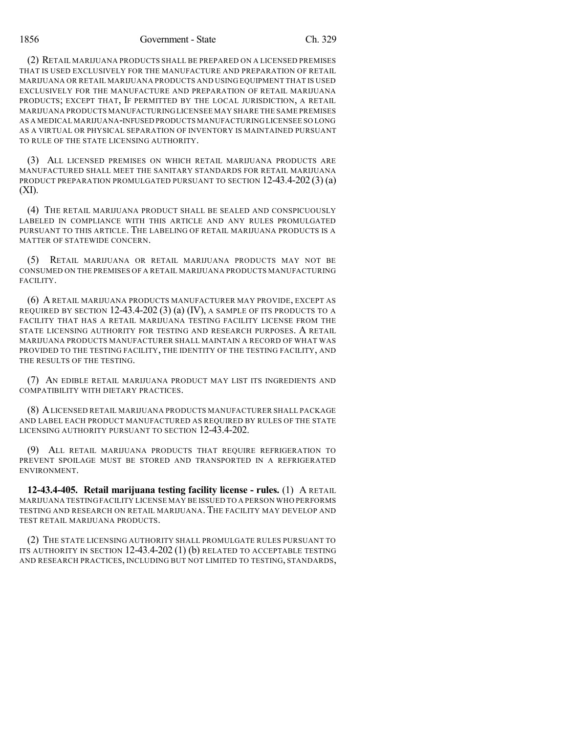(2) RETAIL MARIJUANA PRODUCTS SHALL BE PREPARED ON A LICENSED PREMISES THAT IS USED EXCLUSIVELY FOR THE MANUFACTURE AND PREPARATION OF RETAIL MARIJUANA OR RETAIL MARIJUANA PRODUCTS AND USING EQUIPMENT THAT IS USED EXCLUSIVELY FOR THE MANUFACTURE AND PREPARATION OF RETAIL MARIJUANA PRODUCTS; EXCEPT THAT, IF PERMITTED BY THE LOCAL JURISDICTION, A RETAIL MARIJUANA PRODUCTS MANUFACTURING LICENSEE MAY SHARE THE SAME PREMISES AS A MEDICAL MARIJUANA-INFUSED PRODUCTS MANUFACTURING LICENSEE SO LONG AS A VIRTUAL OR PHYSICAL SEPARATION OF INVENTORY IS MAINTAINED PURSUANT TO RULE OF THE STATE LICENSING AUTHORITY.

(3) ALL LICENSED PREMISES ON WHICH RETAIL MARIJUANA PRODUCTS ARE MANUFACTURED SHALL MEET THE SANITARY STANDARDS FOR RETAIL MARIJUANA PRODUCT PREPARATION PROMULGATED PURSUANT TO SECTION 12-43.4-202 (3) (a) (XI).

(4) THE RETAIL MARIJUANA PRODUCT SHALL BE SEALED AND CONSPICUOUSLY LABELED IN COMPLIANCE WITH THIS ARTICLE AND ANY RULES PROMULGATED PURSUANT TO THIS ARTICLE. THE LABELING OF RETAIL MARIJUANA PRODUCTS IS A MATTER OF STATEWIDE CONCERN.

(5) RETAIL MARIJUANA OR RETAIL MARIJUANA PRODUCTS MAY NOT BE CONSUMED ON THE PREMISES OF A RETAIL MARIJUANA PRODUCTS MANUFACTURING FACILITY.

(6) A RETAIL MARIJUANA PRODUCTS MANUFACTURER MAY PROVIDE, EXCEPT AS REQUIRED BY SECTION  $12-43.4-202(3)$  (a) (IV), A SAMPLE OF ITS PRODUCTS TO A FACILITY THAT HAS A RETAIL MARIJUANA TESTING FACILITY LICENSE FROM THE STATE LICENSING AUTHORITY FOR TESTING AND RESEARCH PURPOSES. A RETAIL MARIJUANA PRODUCTS MANUFACTURER SHALL MAINTAIN A RECORD OF WHAT WAS PROVIDED TO THE TESTING FACILITY, THE IDENTITY OF THE TESTING FACILITY, AND THE RESULTS OF THE TESTING.

(7) AN EDIBLE RETAIL MARIJUANA PRODUCT MAY LIST ITS INGREDIENTS AND COMPATIBILITY WITH DIETARY PRACTICES.

(8) ALICENSED RETAIL MARIJUANA PRODUCTS MANUFACTURER SHALL PACKAGE AND LABEL EACH PRODUCT MANUFACTURED AS REQUIRED BY RULES OF THE STATE LICENSING AUTHORITY PURSUANT TO SECTION 12-43.4-202.

(9) ALL RETAIL MARIJUANA PRODUCTS THAT REQUIRE REFRIGERATION TO PREVENT SPOILAGE MUST BE STORED AND TRANSPORTED IN A REFRIGERATED ENVIRONMENT.

**12-43.4-405. Retail marijuana testing facility license - rules.** (1) A RETAIL MARIJUANA TESTING FACILITY LICENSE MAY BE ISSUED TO A PERSON WHO PERFORMS TESTING AND RESEARCH ON RETAIL MARIJUANA. THE FACILITY MAY DEVELOP AND TEST RETAIL MARIJUANA PRODUCTS.

(2) THE STATE LICENSING AUTHORITY SHALL PROMULGATE RULES PURSUANT TO ITS AUTHORITY IN SECTION  $12-43.4-202(1)$  (b) RELATED TO ACCEPTABLE TESTING AND RESEARCH PRACTICES, INCLUDING BUT NOT LIMITED TO TESTING, STANDARDS,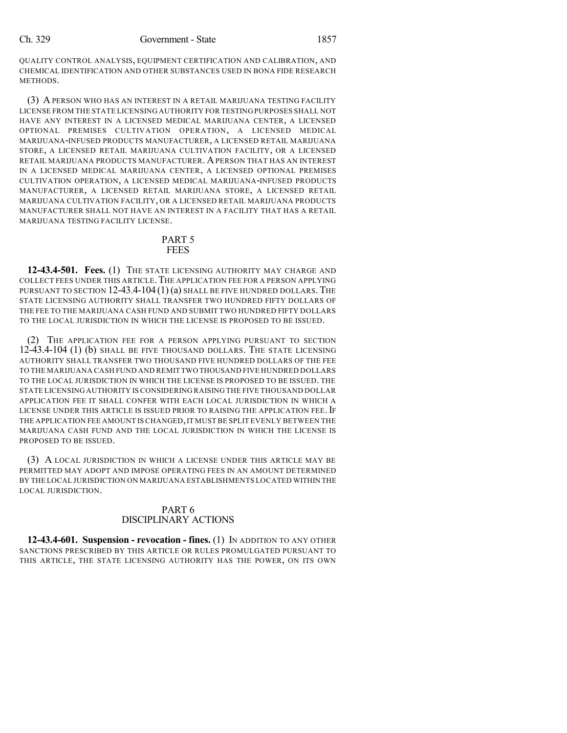QUALITY CONTROL ANALYSIS, EQUIPMENT CERTIFICATION AND CALIBRATION, AND CHEMICAL IDENTIFICATION AND OTHER SUBSTANCES USED IN BONA FIDE RESEARCH METHODS.

(3) A PERSON WHO HAS AN INTEREST IN A RETAIL MARIJUANA TESTING FACILITY LICENSE FROM THE STATE LICENSING AUTHORITY FOR TESTING PURPOSES SHALL NOT HAVE ANY INTEREST IN A LICENSED MEDICAL MARIJUANA CENTER, A LICENSED OPTIONAL PREMISES CULTIVATION OPERATION, A LICENSED MEDICAL MARIJUANA-INFUSED PRODUCTS MANUFACTURER, A LICENSED RETAIL MARIJUANA STORE, A LICENSED RETAIL MARIJUANA CULTIVATION FACILITY, OR A LICENSED RETAIL MARIJUANA PRODUCTS MANUFACTURER. APERSON THAT HAS AN INTEREST IN A LICENSED MEDICAL MARIJUANA CENTER, A LICENSED OPTIONAL PREMISES CULTIVATION OPERATION, A LICENSED MEDICAL MARIJUANA-INFUSED PRODUCTS MANUFACTURER, A LICENSED RETAIL MARIJUANA STORE, A LICENSED RETAIL MARIJUANA CULTIVATION FACILITY, OR A LICENSED RETAIL MARIJUANA PRODUCTS MANUFACTURER SHALL NOT HAVE AN INTEREST IN A FACILITY THAT HAS A RETAIL MARIJUANA TESTING FACILITY LICENSE.

#### PART 5 **FEES**

**12-43.4-501. Fees.** (1) THE STATE LICENSING AUTHORITY MAY CHARGE AND COLLECT FEES UNDER THIS ARTICLE. THE APPLICATION FEE FOR A PERSON APPLYING PURSUANT TO SECTION  $12-43.4-104(1)(a)$  SHALL BE FIVE HUNDRED DOLLARS. THE STATE LICENSING AUTHORITY SHALL TRANSFER TWO HUNDRED FIFTY DOLLARS OF THE FEE TO THE MARIJUANA CASH FUND AND SUBMIT TWO HUNDRED FIFTY DOLLARS TO THE LOCAL JURISDICTION IN WHICH THE LICENSE IS PROPOSED TO BE ISSUED.

(2) THE APPLICATION FEE FOR A PERSON APPLYING PURSUANT TO SECTION 12-43.4-104 (1) (b) SHALL BE FIVE THOUSAND DOLLARS. THE STATE LICENSING AUTHORITY SHALL TRANSFER TWO THOUSAND FIVE HUNDRED DOLLARS OF THE FEE TO THE MARIJUANA CASH FUND AND REMIT TWO THOUSAND FIVE HUNDRED DOLLARS TO THE LOCAL JURISDICTION IN WHICH THE LICENSE IS PROPOSED TO BE ISSUED. THE STATE LICENSING AUTHORITY IS CONSIDERING RAISING THE FIVE THOUSAND DOLLAR APPLICATION FEE IT SHALL CONFER WITH EACH LOCAL JURISDICTION IN WHICH A LICENSE UNDER THIS ARTICLE IS ISSUED PRIOR TO RAISING THE APPLICATION FEE.IF THE APPLICATION FEE AMOUNT IS CHANGED,IT MUST BE SPLIT EVENLY BETWEEN THE MARIJUANA CASH FUND AND THE LOCAL JURISDICTION IN WHICH THE LICENSE IS PROPOSED TO BE ISSUED.

(3) A LOCAL JURISDICTION IN WHICH A LICENSE UNDER THIS ARTICLE MAY BE PERMITTED MAY ADOPT AND IMPOSE OPERATING FEES IN AN AMOUNT DETERMINED BY THE LOCAL JURISDICTION ON MARIJUANA ESTABLISHMENTS LOCATED WITHIN THE LOCAL JURISDICTION.

## PART 6 DISCIPLINARY ACTIONS

**12-43.4-601. Suspension - revocation - fines.** (1) IN ADDITION TO ANY OTHER SANCTIONS PRESCRIBED BY THIS ARTICLE OR RULES PROMULGATED PURSUANT TO THIS ARTICLE, THE STATE LICENSING AUTHORITY HAS THE POWER, ON ITS OWN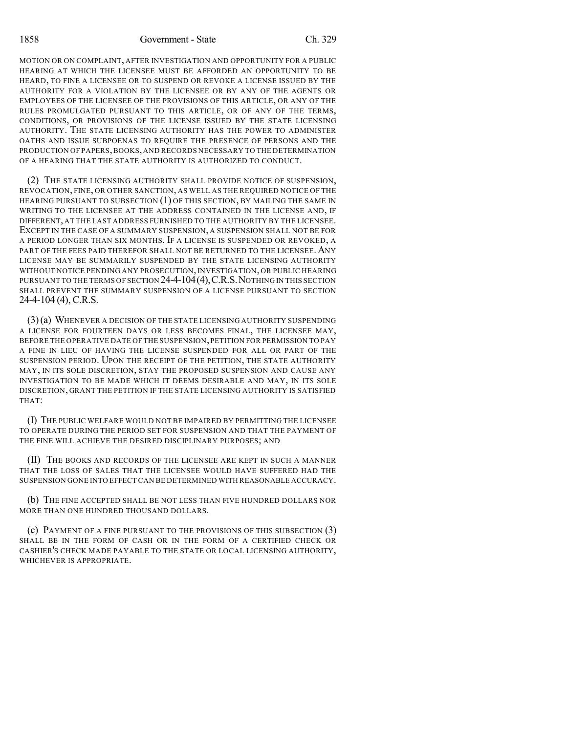MOTION OR ON COMPLAINT, AFTER INVESTIGATION AND OPPORTUNITY FOR A PUBLIC HEARING AT WHICH THE LICENSEE MUST BE AFFORDED AN OPPORTUNITY TO BE HEARD, TO FINE A LICENSEE OR TO SUSPEND OR REVOKE A LICENSE ISSUED BY THE AUTHORITY FOR A VIOLATION BY THE LICENSEE OR BY ANY OF THE AGENTS OR EMPLOYEES OF THE LICENSEE OF THE PROVISIONS OF THIS ARTICLE, OR ANY OF THE RULES PROMULGATED PURSUANT TO THIS ARTICLE, OR OF ANY OF THE TERMS, CONDITIONS, OR PROVISIONS OF THE LICENSE ISSUED BY THE STATE LICENSING AUTHORITY. THE STATE LICENSING AUTHORITY HAS THE POWER TO ADMINISTER OATHS AND ISSUE SUBPOENAS TO REQUIRE THE PRESENCE OF PERSONS AND THE PRODUCTION OF PAPERS,BOOKS,AND RECORDS NECESSARY TO THE DETERMINATION OF A HEARING THAT THE STATE AUTHORITY IS AUTHORIZED TO CONDUCT.

(2) THE STATE LICENSING AUTHORITY SHALL PROVIDE NOTICE OF SUSPENSION, REVOCATION, FINE, OR OTHER SANCTION, AS WELL AS THE REQUIRED NOTICE OF THE HEARING PURSUANT TO SUBSECTION (1) OF THIS SECTION, BY MAILING THE SAME IN WRITING TO THE LICENSEE AT THE ADDRESS CONTAINED IN THE LICENSE AND, IF DIFFERENT, AT THE LAST ADDRESS FURNISHED TO THE AUTHORITY BY THE LICENSEE. EXCEPT IN THE CASE OF A SUMMARY SUSPENSION, A SUSPENSION SHALL NOT BE FOR A PERIOD LONGER THAN SIX MONTHS. IF A LICENSE IS SUSPENDED OR REVOKED, A PART OF THE FEES PAID THEREFOR SHALL NOT BE RETURNED TO THE LICENSEE. ANY LICENSE MAY BE SUMMARILY SUSPENDED BY THE STATE LICENSING AUTHORITY WITHOUT NOTICE PENDING ANY PROSECUTION, INVESTIGATION, OR PUBLIC HEARING PURSUANT TO THE TERMS OF SECTION 24-4-104 (4), C.R.S. NOTHING IN THIS SECTION SHALL PREVENT THE SUMMARY SUSPENSION OF A LICENSE PURSUANT TO SECTION 24-4-104 (4), C.R.S.

(3)(a) WHENEVER A DECISION OF THE STATE LICENSING AUTHORITY SUSPENDING A LICENSE FOR FOURTEEN DAYS OR LESS BECOMES FINAL, THE LICENSEE MAY, BEFORE THE OPERATIVE DATE OF THE SUSPENSION,PETITION FOR PERMISSION TO PAY A FINE IN LIEU OF HAVING THE LICENSE SUSPENDED FOR ALL OR PART OF THE SUSPENSION PERIOD. UPON THE RECEIPT OF THE PETITION, THE STATE AUTHORITY MAY, IN ITS SOLE DISCRETION, STAY THE PROPOSED SUSPENSION AND CAUSE ANY INVESTIGATION TO BE MADE WHICH IT DEEMS DESIRABLE AND MAY, IN ITS SOLE DISCRETION, GRANT THE PETITION IF THE STATE LICENSING AUTHORITY IS SATISFIED THAT:

(I) THE PUBLIC WELFARE WOULD NOT BE IMPAIRED BY PERMITTING THE LICENSEE TO OPERATE DURING THE PERIOD SET FOR SUSPENSION AND THAT THE PAYMENT OF THE FINE WILL ACHIEVE THE DESIRED DISCIPLINARY PURPOSES; AND

(II) THE BOOKS AND RECORDS OF THE LICENSEE ARE KEPT IN SUCH A MANNER THAT THE LOSS OF SALES THAT THE LICENSEE WOULD HAVE SUFFERED HAD THE SUSPENSION GONE INTO EFFECT CAN BE DETERMINED WITH REASONABLE ACCURACY.

(b) THE FINE ACCEPTED SHALL BE NOT LESS THAN FIVE HUNDRED DOLLARS NOR MORE THAN ONE HUNDRED THOUSAND DOLLARS.

(c) PAYMENT OF A FINE PURSUANT TO THE PROVISIONS OF THIS SUBSECTION (3) SHALL BE IN THE FORM OF CASH OR IN THE FORM OF A CERTIFIED CHECK OR CASHIER'S CHECK MADE PAYABLE TO THE STATE OR LOCAL LICENSING AUTHORITY, WHICHEVER IS APPROPRIATE.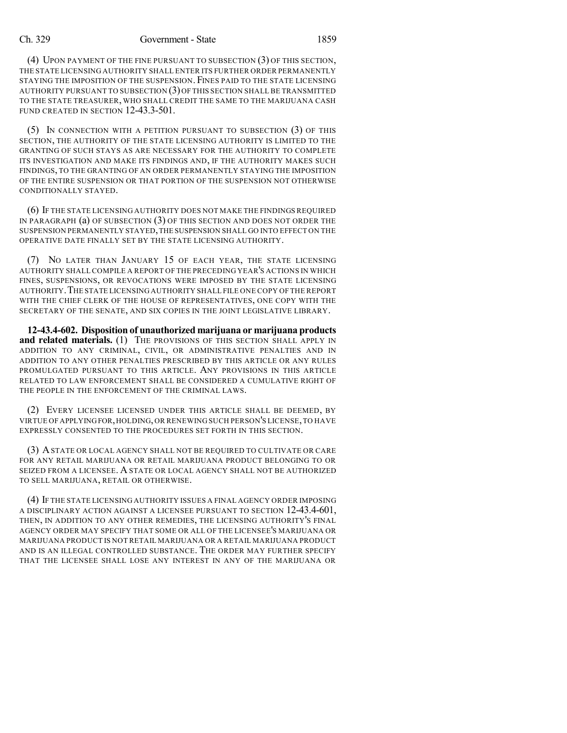#### Ch. 329 Government - State 1859

(4) UPON PAYMENT OF THE FINE PURSUANT TO SUBSECTION (3) OF THIS SECTION, THE STATE LICENSING AUTHORITY SHALL ENTER ITS FURTHER ORDER PERMANENTLY STAYING THE IMPOSITION OF THE SUSPENSION. FINES PAID TO THE STATE LICENSING AUTHORITY PURSUANT TO SUBSECTION (3)OF THIS SECTION SHALL BE TRANSMITTED TO THE STATE TREASURER, WHO SHALL CREDIT THE SAME TO THE MARIJUANA CASH FUND CREATED IN SECTION 12-43.3-501.

(5) IN CONNECTION WITH A PETITION PURSUANT TO SUBSECTION (3) OF THIS SECTION, THE AUTHORITY OF THE STATE LICENSING AUTHORITY IS LIMITED TO THE GRANTING OF SUCH STAYS AS ARE NECESSARY FOR THE AUTHORITY TO COMPLETE ITS INVESTIGATION AND MAKE ITS FINDINGS AND, IF THE AUTHORITY MAKES SUCH FINDINGS, TO THE GRANTING OF AN ORDER PERMANENTLY STAYING THE IMPOSITION OF THE ENTIRE SUSPENSION OR THAT PORTION OF THE SUSPENSION NOT OTHERWISE CONDITIONALLY STAYED.

(6) IF THE STATE LICENSING AUTHORITY DOES NOT MAKE THE FINDINGS REQUIRED IN PARAGRAPH (a) OF SUBSECTION (3) OF THIS SECTION AND DOES NOT ORDER THE SUSPENSION PERMANENTLY STAYED,THE SUSPENSION SHALL GO INTO EFFECT ON THE OPERATIVE DATE FINALLY SET BY THE STATE LICENSING AUTHORITY.

(7) NO LATER THAN JANUARY 15 OF EACH YEAR, THE STATE LICENSING AUTHORITY SHALL COMPILE A REPORT OF THE PRECEDING YEAR'S ACTIONS IN WHICH FINES, SUSPENSIONS, OR REVOCATIONS WERE IMPOSED BY THE STATE LICENSING AUTHORITY.THE STATE LICENSING AUTHORITY SHALL FILE ONE COPY OF THE REPORT WITH THE CHIEF CLERK OF THE HOUSE OF REPRESENTATIVES, ONE COPY WITH THE SECRETARY OF THE SENATE, AND SIX COPIES IN THE JOINT LEGISLATIVE LIBRARY.

**12-43.4-602. Disposition of unauthorized marijuana or marijuana products** and **related materials.** (1) THE PROVISIONS OF THIS SECTION SHALL APPLY IN ADDITION TO ANY CRIMINAL, CIVIL, OR ADMINISTRATIVE PENALTIES AND IN ADDITION TO ANY OTHER PENALTIES PRESCRIBED BY THIS ARTICLE OR ANY RULES PROMULGATED PURSUANT TO THIS ARTICLE. ANY PROVISIONS IN THIS ARTICLE RELATED TO LAW ENFORCEMENT SHALL BE CONSIDERED A CUMULATIVE RIGHT OF THE PEOPLE IN THE ENFORCEMENT OF THE CRIMINAL LAWS.

(2) EVERY LICENSEE LICENSED UNDER THIS ARTICLE SHALL BE DEEMED, BY VIRTUE OF APPLYINGFOR,HOLDING,OR RENEWING SUCH PERSON'S LICENSE,TO HAVE EXPRESSLY CONSENTED TO THE PROCEDURES SET FORTH IN THIS SECTION.

(3) ASTATE OR LOCAL AGENCY SHALL NOT BE REQUIRED TO CULTIVATE OR CARE FOR ANY RETAIL MARIJUANA OR RETAIL MARIJUANA PRODUCT BELONGING TO OR SEIZED FROM A LICENSEE. A STATE OR LOCAL AGENCY SHALL NOT BE AUTHORIZED TO SELL MARIJUANA, RETAIL OR OTHERWISE.

(4) IF THE STATE LICENSING AUTHORITY ISSUES A FINAL AGENCY ORDER IMPOSING A DISCIPLINARY ACTION AGAINST A LICENSEE PURSUANT TO SECTION 12-43.4-601, THEN, IN ADDITION TO ANY OTHER REMEDIES, THE LICENSING AUTHORITY'S FINAL AGENCY ORDER MAY SPECIFY THAT SOME OR ALL OF THE LICENSEE'S MARIJUANA OR MARIJUANA PRODUCT IS NOT RETAIL MARIJUANA OR A RETAIL MARIJUANA PRODUCT AND IS AN ILLEGAL CONTROLLED SUBSTANCE. THE ORDER MAY FURTHER SPECIFY THAT THE LICENSEE SHALL LOSE ANY INTEREST IN ANY OF THE MARIJUANA OR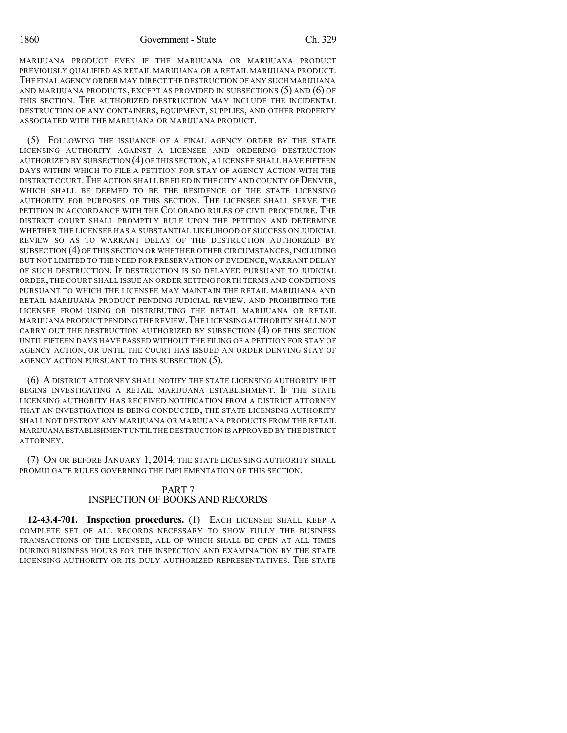MARIJUANA PRODUCT EVEN IF THE MARIJUANA OR MARIJUANA PRODUCT PREVIOUSLY QUALIFIED AS RETAIL MARIJUANA OR A RETAIL MARIJUANA PRODUCT. THE FINAL AGENCY ORDER MAY DIRECT THE DESTRUCTION OF ANY SUCH MARIJUANA AND MARIJUANA PRODUCTS, EXCEPT AS PROVIDED IN SUBSECTIONS (5) AND (6) OF THIS SECTION. THE AUTHORIZED DESTRUCTION MAY INCLUDE THE INCIDENTAL DESTRUCTION OF ANY CONTAINERS, EQUIPMENT, SUPPLIES, AND OTHER PROPERTY ASSOCIATED WITH THE MARIJUANA OR MARIJUANA PRODUCT.

(5) FOLLOWING THE ISSUANCE OF A FINAL AGENCY ORDER BY THE STATE LICENSING AUTHORITY AGAINST A LICENSEE AND ORDERING DESTRUCTION AUTHORIZED BY SUBSECTION (4) OF THIS SECTION, A LICENSEE SHALL HAVE FIFTEEN DAYS WITHIN WHICH TO FILE A PETITION FOR STAY OF AGENCY ACTION WITH THE DISTRICT COURT. THE ACTION SHALL BE FILED IN THE CITY AND COUNTY OF DENVER. WHICH SHALL BE DEEMED TO BE THE RESIDENCE OF THE STATE LICENSING AUTHORITY FOR PURPOSES OF THIS SECTION. THE LICENSEE SHALL SERVE THE PETITION IN ACCORDANCE WITH THE COLORADO RULES OF CIVIL PROCEDURE. THE DISTRICT COURT SHALL PROMPTLY RULE UPON THE PETITION AND DETERMINE WHETHER THE LICENSEE HAS A SUBSTANTIAL LIKELIHOOD OF SUCCESS ON JUDICIAL REVIEW SO AS TO WARRANT DELAY OF THE DESTRUCTION AUTHORIZED BY SUBSECTION (4) OF THIS SECTION OR WHETHER OTHER CIRCUMSTANCES, INCLUDING BUT NOT LIMITED TO THE NEED FOR PRESERVATION OF EVIDENCE, WARRANT DELAY OF SUCH DESTRUCTION. IF DESTRUCTION IS SO DELAYED PURSUANT TO JUDICIAL ORDER, THE COURT SHALL ISSUE AN ORDER SETTING FORTH TERMS AND CONDITIONS PURSUANT TO WHICH THE LICENSEE MAY MAINTAIN THE RETAIL MARIJUANA AND RETAIL MARIJUANA PRODUCT PENDING JUDICIAL REVIEW, AND PROHIBITING THE LICENSEE FROM USING OR DISTRIBUTING THE RETAIL MARIJUANA OR RETAIL MARIJUANA PRODUCT PENDING THE REVIEW.THE LICENSING AUTHORITY SHALL NOT CARRY OUT THE DESTRUCTION AUTHORIZED BY SUBSECTION (4) OF THIS SECTION UNTIL FIFTEEN DAYS HAVE PASSED WITHOUT THE FILING OF A PETITION FOR STAY OF AGENCY ACTION, OR UNTIL THE COURT HAS ISSUED AN ORDER DENYING STAY OF AGENCY ACTION PURSUANT TO THIS SUBSECTION (5).

(6) A DISTRICT ATTORNEY SHALL NOTIFY THE STATE LICENSING AUTHORITY IF IT BEGINS INVESTIGATING A RETAIL MARIJUANA ESTABLISHMENT. IF THE STATE LICENSING AUTHORITY HAS RECEIVED NOTIFICATION FROM A DISTRICT ATTORNEY THAT AN INVESTIGATION IS BEING CONDUCTED, THE STATE LICENSING AUTHORITY SHALL NOT DESTROY ANY MARIJUANA OR MARIJUANA PRODUCTS FROM THE RETAIL MARIJUANA ESTABLISHMENT UNTIL THE DESTRUCTION IS APPROVED BY THE DISTRICT ATTORNEY.

(7) ON OR BEFORE JANUARY 1, 2014, THE STATE LICENSING AUTHORITY SHALL PROMULGATE RULES GOVERNING THE IMPLEMENTATION OF THIS SECTION.

### PART 7 INSPECTION OF BOOKS AND RECORDS

**12-43.4-701. Inspection procedures.** (1) EACH LICENSEE SHALL KEEP A COMPLETE SET OF ALL RECORDS NECESSARY TO SHOW FULLY THE BUSINESS TRANSACTIONS OF THE LICENSEE, ALL OF WHICH SHALL BE OPEN AT ALL TIMES DURING BUSINESS HOURS FOR THE INSPECTION AND EXAMINATION BY THE STATE LICENSING AUTHORITY OR ITS DULY AUTHORIZED REPRESENTATIVES. THE STATE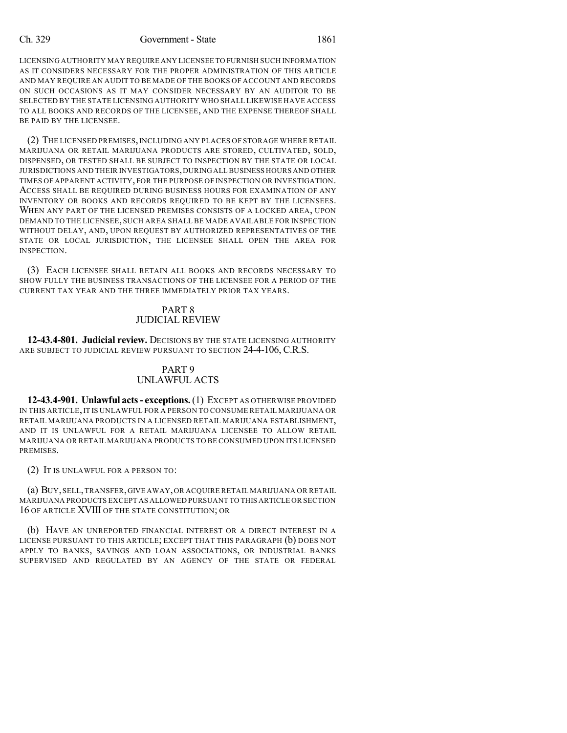#### Ch. 329 Government - State 1861

LICENSING AUTHORITY MAY REQUIRE ANY LICENSEE TO FURNISH SUCH INFORMATION AS IT CONSIDERS NECESSARY FOR THE PROPER ADMINISTRATION OF THIS ARTICLE AND MAY REQUIRE AN AUDIT TO BE MADE OF THE BOOKS OF ACCOUNT AND RECORDS ON SUCH OCCASIONS AS IT MAY CONSIDER NECESSARY BY AN AUDITOR TO BE SELECTED BY THE STATE LICENSING AUTHORITY WHO SHALL LIKEWISE HAVE ACCESS TO ALL BOOKS AND RECORDS OF THE LICENSEE, AND THE EXPENSE THEREOF SHALL BE PAID BY THE LICENSEE.

(2) THE LICENSED PREMISES,INCLUDING ANY PLACES OF STORAGE WHERE RETAIL MARIJUANA OR RETAIL MARIJUANA PRODUCTS ARE STORED, CULTIVATED, SOLD, DISPENSED, OR TESTED SHALL BE SUBJECT TO INSPECTION BY THE STATE OR LOCAL JURISDICTIONS AND THEIR INVESTIGATORS,DURINGALL BUSINESS HOURS AND OTHER TIMES OF APPARENT ACTIVITY, FOR THE PURPOSE OF INSPECTION OR INVESTIGATION. ACCESS SHALL BE REQUIRED DURING BUSINESS HOURS FOR EXAMINATION OF ANY INVENTORY OR BOOKS AND RECORDS REQUIRED TO BE KEPT BY THE LICENSEES. WHEN ANY PART OF THE LICENSED PREMISES CONSISTS OF A LOCKED AREA, UPON DEMAND TO THE LICENSEE, SUCH AREA SHALL BE MADE AVAILABLE FOR INSPECTION WITHOUT DELAY, AND, UPON REQUEST BY AUTHORIZED REPRESENTATIVES OF THE STATE OR LOCAL JURISDICTION, THE LICENSEE SHALL OPEN THE AREA FOR INSPECTION.

(3) EACH LICENSEE SHALL RETAIN ALL BOOKS AND RECORDS NECESSARY TO SHOW FULLY THE BUSINESS TRANSACTIONS OF THE LICENSEE FOR A PERIOD OF THE CURRENT TAX YEAR AND THE THREE IMMEDIATELY PRIOR TAX YEARS.

## PART 8 JUDICIAL REVIEW

**12-43.4-801. Judicial review.** DECISIONS BY THE STATE LICENSING AUTHORITY ARE SUBJECT TO JUDICIAL REVIEW PURSUANT TO SECTION 24-4-106, C.R.S.

## PART 9 UNLAWFUL ACTS

**12-43.4-901. Unlawful acts- exceptions.**(1) EXCEPT AS OTHERWISE PROVIDED IN THIS ARTICLE,IT IS UNLAWFUL FOR A PERSON TO CONSUME RETAIL MARIJUANA OR RETAIL MARIJUANA PRODUCTS IN A LICENSED RETAIL MARIJUANA ESTABLISHMENT, AND IT IS UNLAWFUL FOR A RETAIL MARIJUANA LICENSEE TO ALLOW RETAIL MARIJUANA OR RETAIL MARIJUANA PRODUCTS TO BE CONSUMED UPON ITS LICENSED PREMISES.

(2) IT IS UNLAWFUL FOR A PERSON TO:

(a) BUY,SELL,TRANSFER,GIVE AWAY,OR ACQUIRE RETAIL MARIJUANA OR RETAIL MARIJUANA PRODUCTS EXCEPT AS ALLOWED PURSUANT TO THIS ARTICLE OR SECTION 16 OF ARTICLE XVIII OF THE STATE CONSTITUTION; OR

(b) HAVE AN UNREPORTED FINANCIAL INTEREST OR A DIRECT INTEREST IN A LICENSE PURSUANT TO THIS ARTICLE; EXCEPT THAT THIS PARAGRAPH (b) DOES NOT APPLY TO BANKS, SAVINGS AND LOAN ASSOCIATIONS, OR INDUSTRIAL BANKS SUPERVISED AND REGULATED BY AN AGENCY OF THE STATE OR FEDERAL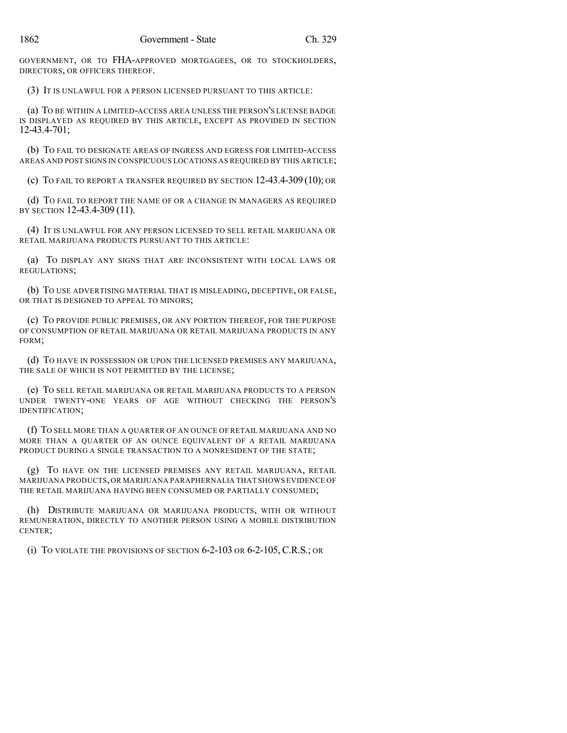GOVERNMENT, OR TO FHA-APPROVED MORTGAGEES, OR TO STOCKHOLDERS, DIRECTORS, OR OFFICERS THEREOF.

(3) IT IS UNLAWFUL FOR A PERSON LICENSED PURSUANT TO THIS ARTICLE:

(a) TO BE WITHIN A LIMITED-ACCESS AREA UNLESS THE PERSON'S LICENSE BADGE IS DISPLAYED AS REQUIRED BY THIS ARTICLE, EXCEPT AS PROVIDED IN SECTION 12-43.4-701;

(b) TO FAIL TO DESIGNATE AREAS OF INGRESS AND EGRESS FOR LIMITED-ACCESS AREAS AND POST SIGNS IN CONSPICUOUS LOCATIONS AS REQUIRED BY THIS ARTICLE;

(c) TO FAIL TO REPORT A TRANSFER REQUIRED BY SECTION 12-43.4-309 (10); OR

(d) TO FAIL TO REPORT THE NAME OF OR A CHANGE IN MANAGERS AS REQUIRED BY SECTION 12-43.4-309 (11).

(4) IT IS UNLAWFUL FOR ANY PERSON LICENSED TO SELL RETAIL MARIJUANA OR RETAIL MARIJUANA PRODUCTS PURSUANT TO THIS ARTICLE:

(a) TO DISPLAY ANY SIGNS THAT ARE INCONSISTENT WITH LOCAL LAWS OR REGULATIONS;

(b) TO USE ADVERTISING MATERIAL THAT IS MISLEADING, DECEPTIVE, OR FALSE, OR THAT IS DESIGNED TO APPEAL TO MINORS;

(c) TO PROVIDE PUBLIC PREMISES, OR ANY PORTION THEREOF, FOR THE PURPOSE OF CONSUMPTION OF RETAIL MARIJUANA OR RETAIL MARIJUANA PRODUCTS IN ANY FORM;

(d) TO HAVE IN POSSESSION OR UPON THE LICENSED PREMISES ANY MARIJUANA, THE SALE OF WHICH IS NOT PERMITTED BY THE LICENSE;

(e) TO SELL RETAIL MARIJUANA OR RETAIL MARIJUANA PRODUCTS TO A PERSON UNDER TWENTY-ONE YEARS OF AGE WITHOUT CHECKING THE PERSON'S IDENTIFICATION;

(f) TO SELL MORE THAN A QUARTER OF AN OUNCE OF RETAIL MARIJUANA AND NO MORE THAN A QUARTER OF AN OUNCE EQUIVALENT OF A RETAIL MARIJUANA PRODUCT DURING A SINGLE TRANSACTION TO A NONRESIDENT OF THE STATE;

(g) TO HAVE ON THE LICENSED PREMISES ANY RETAIL MARIJUANA, RETAIL MARIJUANA PRODUCTS, OR MARIJUANA PARAPHERNALIA THAT SHOWS EVIDENCE OF THE RETAIL MARIJUANA HAVING BEEN CONSUMED OR PARTIALLY CONSUMED;

(h) DISTRIBUTE MARIJUANA OR MARIJUANA PRODUCTS, WITH OR WITHOUT REMUNERATION, DIRECTLY TO ANOTHER PERSON USING A MOBILE DISTRIBUTION CENTER;

(i) TO VIOLATE THE PROVISIONS OF SECTION 6-2-103 OR 6-2-105, C.R.S.; OR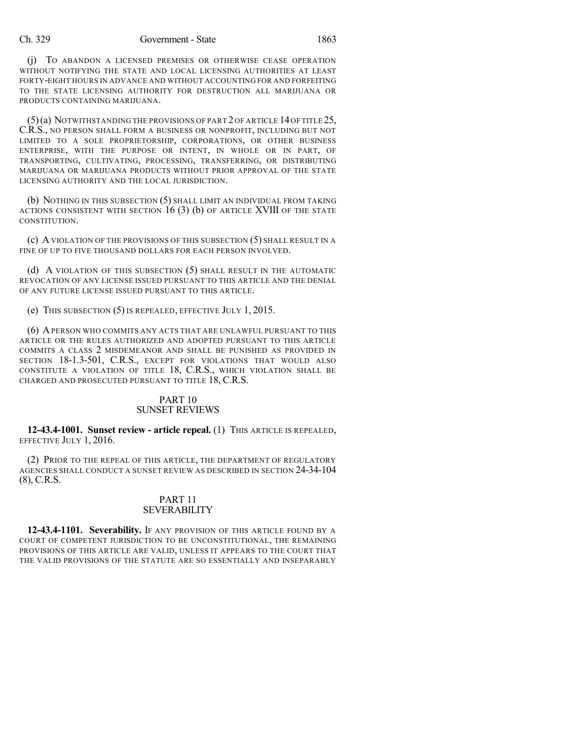(j) TO ABANDON A LICENSED PREMISES OR OTHERWISE CEASE OPERATION WITHOUT NOTIFYING THE STATE AND LOCAL LICENSING AUTHORITIES AT LEAST FORTY-EIGHT HOURS IN ADVANCE AND WITHOUT ACCOUNTING FOR AND FORFEITING TO THE STATE LICENSING AUTHORITY FOR DESTRUCTION ALL MARIJUANA OR PRODUCTS CONTAINING MARIJUANA.

 $(5)(a)$  NOTWITHSTANDING THE PROVISIONS OF PART 2 OF ARTICLE 14 OF TITLE 25, C.R.S., NO PERSON SHALL FORM A BUSINESS OR NONPROFIT, INCLUDING BUT NOT LIMITED TO A SOLE PROPRIETORSHIP, CORPORATIONS, OR OTHER BUSINESS ENTERPRISE, WITH THE PURPOSE OR INTENT, IN WHOLE OR IN PART, OF TRANSPORTING, CULTIVATING, PROCESSING, TRANSFERRING, OR DISTRIBUTING MARIJUANA OR MARIJUANA PRODUCTS WITHOUT PRIOR APPROVAL OF THE STATE LICENSING AUTHORITY AND THE LOCAL JURISDICTION.

(b) NOTHING IN THIS SUBSECTION (5) SHALL LIMIT AN INDIVIDUAL FROM TAKING ACTIONS CONSISTENT WITH SECTION 16 (3) (b) OF ARTICLE XVIII OF THE STATE CONSTITUTION.

(c) AVIOLATION OF THE PROVISIONS OF THIS SUBSECTION (5) SHALL RESULT IN A FINE OF UP TO FIVE THOUSAND DOLLARS FOR EACH PERSON INVOLVED.

(d) A VIOLATION OF THIS SUBSECTION (5) SHALL RESULT IN THE AUTOMATIC REVOCATION OF ANY LICENSE ISSUED PURSUANT TO THIS ARTICLE AND THE DENIAL OF ANY FUTURE LICENSE ISSUED PURSUANT TO THIS ARTICLE.

(e) THIS SUBSECTION (5) IS REPEALED, EFFECTIVE JULY 1, 2015.

(6) APERSON WHO COMMITS ANY ACTS THAT ARE UNLAWFUL PURSUANT TO THIS ARTICLE OR THE RULES AUTHORIZED AND ADOPTED PURSUANT TO THIS ARTICLE COMMITS A CLASS 2 MISDEMEANOR AND SHALL BE PUNISHED AS PROVIDED IN SECTION 18-1.3-501, C.R.S., EXCEPT FOR VIOLATIONS THAT WOULD ALSO CONSTITUTE A VIOLATION OF TITLE 18, C.R.S., WHICH VIOLATION SHALL BE CHARGED AND PROSECUTED PURSUANT TO TITLE 18, C.R.S.

## PART 10 SUNSET REVIEWS

**12-43.4-1001. Sunset review - article repeal.** (1) THIS ARTICLE IS REPEALED, EFFECTIVE JULY 1, 2016.

(2) PRIOR TO THE REPEAL OF THIS ARTICLE, THE DEPARTMENT OF REGULATORY AGENCIES SHALL CONDUCT A SUNSET REVIEW AS DESCRIBED IN SECTION 24-34-104 (8), C.R.S.

## PART 11 **SEVERABILITY**

**12-43.4-1101. Severability.** IF ANY PROVISION OF THIS ARTICLE FOUND BY A COURT OF COMPETENT JURISDICTION TO BE UNCONSTITUTIONAL, THE REMAINING PROVISIONS OF THIS ARTICLE ARE VALID, UNLESS IT APPEARS TO THE COURT THAT THE VALID PROVISIONS OF THE STATUTE ARE SO ESSENTIALLY AND INSEPARABLY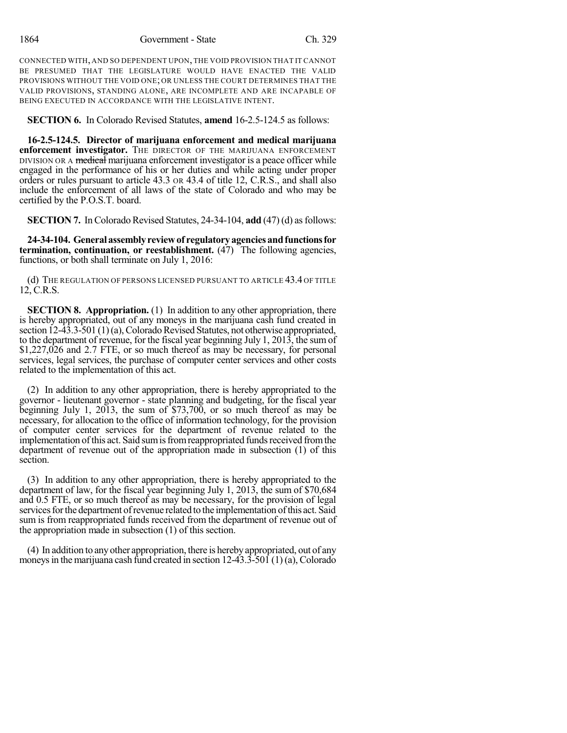CONNECTED WITH, AND SO DEPENDENT UPON, THE VOID PROVISION THAT IT CANNOT BE PRESUMED THAT THE LEGISLATURE WOULD HAVE ENACTED THE VALID PROVISIONS WITHOUT THE VOID ONE; OR UNLESS THE COURT DETERMINES THAT THE VALID PROVISIONS, STANDING ALONE, ARE INCOMPLETE AND ARE INCAPABLE OF BEING EXECUTED IN ACCORDANCE WITH THE LEGISLATIVE INTENT.

**SECTION 6.** In Colorado Revised Statutes, **amend** 16-2.5-124.5 as follows:

**16-2.5-124.5. Director of marijuana enforcement and medical marijuana enforcement investigator.** THE DIRECTOR OF THE MARIJUANA ENFORCEMENT DIVISION OR A medical marijuana enforcement investigator is a peace officer while engaged in the performance of his or her duties and while acting under proper orders or rules pursuant to article 43.3 OR 43.4 of title 12, C.R.S., and shall also include the enforcement of all laws of the state of Colorado and who may be certified by the P.O.S.T. board.

**SECTION 7.** In Colorado Revised Statutes, 24-34-104, **add** (47) (d) as follows:

**24-34-104. Generalassemblyreviewof regulatoryagenciesandfunctionsfor termination, continuation, or reestablishment.** (47) The following agencies, functions, or both shall terminate on July 1, 2016:

(d) THE REGULATION OF PERSONS LICENSED PURSUANT TO ARTICLE 43.4 OF TITLE 12, C.R.S.

**SECTION 8. Appropriation.** (1) In addition to any other appropriation, there is hereby appropriated, out of any moneys in the marijuana cash fund created in section  $12-\hat{4}3.3-\hat{5}01(1)(a)$ , Colorado Revised Statutes, not otherwise appropriated, to the department of revenue, for the fiscal year beginning July 1, 2013, the sum of \$1,227,026 and 2.7 FTE, or so much thereof as may be necessary, for personal services, legal services, the purchase of computer center services and other costs related to the implementation of this act.

(2) In addition to any other appropriation, there is hereby appropriated to the governor - lieutenant governor - state planning and budgeting, for the fiscal year beginning July 1, 2013, the sum of \$73,700, or so much thereof as may be necessary, for allocation to the office of information technology, for the provision of computer center services for the department of revenue related to the implementation of this act. Said sum is from reappropriated funds received from the department of revenue out of the appropriation made in subsection (1) of this section.

(3) In addition to any other appropriation, there is hereby appropriated to the department of law, for the fiscal year beginning July 1, 2013, the sum of \$70,684 and 0.5 FTE, or so much thereof as may be necessary, for the provision of legal services for the department of revenue related to the implementation of this act. Said sum is from reappropriated funds received from the department of revenue out of the appropriation made in subsection (1) of this section.

(4) In addition to anyother appropriation, there is herebyappropriated, out of any moneys in the marijuana cash fund created in section  $12-43.3-501(1)(a)$ , Colorado